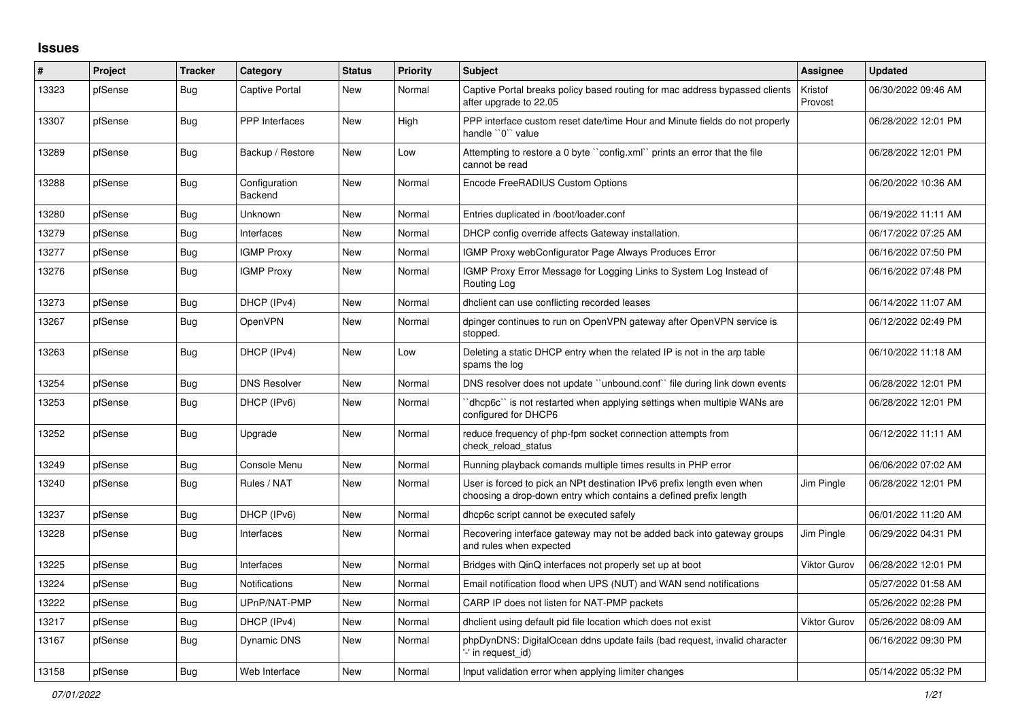## **Issues**

| #     | Project | <b>Tracker</b> | Category                 | <b>Status</b> | <b>Priority</b> | <b>Subject</b>                                                                                                                              | Assignee            | <b>Updated</b>      |
|-------|---------|----------------|--------------------------|---------------|-----------------|---------------------------------------------------------------------------------------------------------------------------------------------|---------------------|---------------------|
| 13323 | pfSense | Bug            | <b>Captive Portal</b>    | New           | Normal          | Captive Portal breaks policy based routing for mac address bypassed clients<br>after upgrade to 22.05                                       | Kristof<br>Provost  | 06/30/2022 09:46 AM |
| 13307 | pfSense | Bug            | <b>PPP</b> Interfaces    | New           | High            | PPP interface custom reset date/time Hour and Minute fields do not properly<br>handle "0" value                                             |                     | 06/28/2022 12:01 PM |
| 13289 | pfSense | <b>Bug</b>     | Backup / Restore         | New           | Low             | Attempting to restore a 0 byte "config.xml" prints an error that the file<br>cannot be read                                                 |                     | 06/28/2022 12:01 PM |
| 13288 | pfSense | Bug            | Configuration<br>Backend | New           | Normal          | Encode FreeRADIUS Custom Options                                                                                                            |                     | 06/20/2022 10:36 AM |
| 13280 | pfSense | Bug            | Unknown                  | New           | Normal          | Entries duplicated in /boot/loader.conf                                                                                                     |                     | 06/19/2022 11:11 AM |
| 13279 | pfSense | Bug            | Interfaces               | New           | Normal          | DHCP config override affects Gateway installation.                                                                                          |                     | 06/17/2022 07:25 AM |
| 13277 | pfSense | <b>Bug</b>     | <b>IGMP Proxy</b>        | New           | Normal          | IGMP Proxy webConfigurator Page Always Produces Error                                                                                       |                     | 06/16/2022 07:50 PM |
| 13276 | pfSense | <b>Bug</b>     | <b>IGMP Proxy</b>        | New           | Normal          | IGMP Proxy Error Message for Logging Links to System Log Instead of<br>Routing Log                                                          |                     | 06/16/2022 07:48 PM |
| 13273 | pfSense | <b>Bug</b>     | DHCP (IPv4)              | New           | Normal          | dholient can use conflicting recorded leases                                                                                                |                     | 06/14/2022 11:07 AM |
| 13267 | pfSense | <b>Bug</b>     | OpenVPN                  | New           | Normal          | dpinger continues to run on OpenVPN gateway after OpenVPN service is<br>stopped.                                                            |                     | 06/12/2022 02:49 PM |
| 13263 | pfSense | <b>Bug</b>     | DHCP (IPv4)              | New           | Low             | Deleting a static DHCP entry when the related IP is not in the arp table<br>spams the log                                                   |                     | 06/10/2022 11:18 AM |
| 13254 | pfSense | <b>Bug</b>     | <b>DNS Resolver</b>      | New           | Normal          | DNS resolver does not update "unbound.conf" file during link down events                                                                    |                     | 06/28/2022 12:01 PM |
| 13253 | pfSense | Bug            | DHCP (IPv6)              | New           | Normal          | dhcp6c" is not restarted when applying settings when multiple WANs are<br>configured for DHCP6                                              |                     | 06/28/2022 12:01 PM |
| 13252 | pfSense | <b>Bug</b>     | Upgrade                  | <b>New</b>    | Normal          | reduce frequency of php-fpm socket connection attempts from<br>check reload status                                                          |                     | 06/12/2022 11:11 AM |
| 13249 | pfSense | <b>Bug</b>     | Console Menu             | <b>New</b>    | Normal          | Running playback comands multiple times results in PHP error                                                                                |                     | 06/06/2022 07:02 AM |
| 13240 | pfSense | Bug            | Rules / NAT              | <b>New</b>    | Normal          | User is forced to pick an NPt destination IPv6 prefix length even when<br>choosing a drop-down entry which contains a defined prefix length | Jim Pingle          | 06/28/2022 12:01 PM |
| 13237 | pfSense | Bug            | DHCP (IPv6)              | New           | Normal          | dhcp6c script cannot be executed safely                                                                                                     |                     | 06/01/2022 11:20 AM |
| 13228 | pfSense | <b>Bug</b>     | Interfaces               | New           | Normal          | Recovering interface gateway may not be added back into gateway groups<br>and rules when expected                                           | Jim Pingle          | 06/29/2022 04:31 PM |
| 13225 | pfSense | <b>Bug</b>     | Interfaces               | New           | Normal          | Bridges with QinQ interfaces not properly set up at boot                                                                                    | <b>Viktor Gurov</b> | 06/28/2022 12:01 PM |
| 13224 | pfSense | Bug            | <b>Notifications</b>     | <b>New</b>    | Normal          | Email notification flood when UPS (NUT) and WAN send notifications                                                                          |                     | 05/27/2022 01:58 AM |
| 13222 | pfSense | <b>Bug</b>     | UPnP/NAT-PMP             | <b>New</b>    | Normal          | CARP IP does not listen for NAT-PMP packets                                                                                                 |                     | 05/26/2022 02:28 PM |
| 13217 | pfSense | <b>Bug</b>     | DHCP (IPv4)              | New           | Normal          | dhclient using default pid file location which does not exist                                                                               | <b>Viktor Gurov</b> | 05/26/2022 08:09 AM |
| 13167 | pfSense | Bug            | <b>Dynamic DNS</b>       | New           | Normal          | phpDynDNS: DigitalOcean ddns update fails (bad request, invalid character<br>'-' in request_id)                                             |                     | 06/16/2022 09:30 PM |
| 13158 | pfSense | Bug            | Web Interface            | New           | Normal          | Input validation error when applying limiter changes                                                                                        |                     | 05/14/2022 05:32 PM |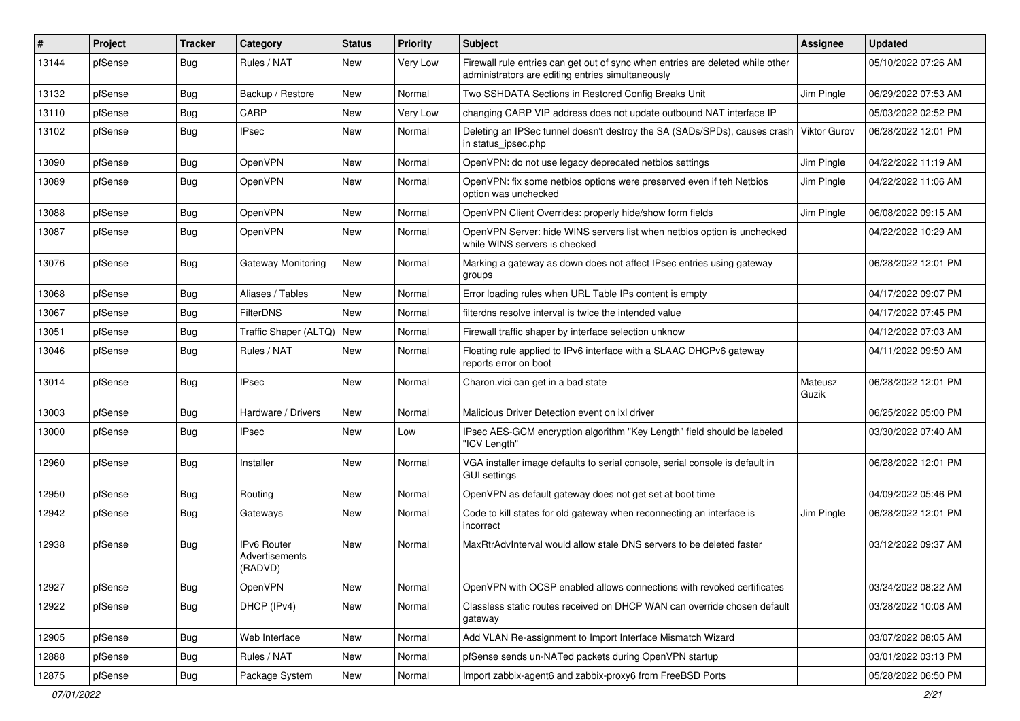| ∦     | Project | <b>Tracker</b> | Category                                 | <b>Status</b> | <b>Priority</b> | <b>Subject</b>                                                                                                                      | <b>Assignee</b>     | <b>Updated</b>      |
|-------|---------|----------------|------------------------------------------|---------------|-----------------|-------------------------------------------------------------------------------------------------------------------------------------|---------------------|---------------------|
| 13144 | pfSense | <b>Bug</b>     | Rules / NAT                              | New           | Very Low        | Firewall rule entries can get out of sync when entries are deleted while other<br>administrators are editing entries simultaneously |                     | 05/10/2022 07:26 AM |
| 13132 | pfSense | Bug            | Backup / Restore                         | New           | Normal          | Two SSHDATA Sections in Restored Config Breaks Unit                                                                                 | Jim Pingle          | 06/29/2022 07:53 AM |
| 13110 | pfSense | Bug            | CARP                                     | New           | Very Low        | changing CARP VIP address does not update outbound NAT interface IP                                                                 |                     | 05/03/2022 02:52 PM |
| 13102 | pfSense | <b>Bug</b>     | <b>IPsec</b>                             | New           | Normal          | Deleting an IPSec tunnel doesn't destroy the SA (SADs/SPDs), causes crash<br>in status_ipsec.php                                    | <b>Viktor Gurov</b> | 06/28/2022 12:01 PM |
| 13090 | pfSense | Bug            | <b>OpenVPN</b>                           | New           | Normal          | OpenVPN: do not use legacy deprecated netbios settings                                                                              | Jim Pingle          | 04/22/2022 11:19 AM |
| 13089 | pfSense | <b>Bug</b>     | OpenVPN                                  | New           | Normal          | OpenVPN: fix some netbios options were preserved even if teh Netbios<br>option was unchecked                                        | Jim Pingle          | 04/22/2022 11:06 AM |
| 13088 | pfSense | Bug            | <b>OpenVPN</b>                           | New           | Normal          | OpenVPN Client Overrides: properly hide/show form fields                                                                            | Jim Pingle          | 06/08/2022 09:15 AM |
| 13087 | pfSense | Bug            | <b>OpenVPN</b>                           | New           | Normal          | OpenVPN Server: hide WINS servers list when netbios option is unchecked<br>while WINS servers is checked                            |                     | 04/22/2022 10:29 AM |
| 13076 | pfSense | Bug            | Gateway Monitoring                       | New           | Normal          | Marking a gateway as down does not affect IPsec entries using gateway<br>groups                                                     |                     | 06/28/2022 12:01 PM |
| 13068 | pfSense | <b>Bug</b>     | Aliases / Tables                         | New           | Normal          | Error loading rules when URL Table IPs content is empty                                                                             |                     | 04/17/2022 09:07 PM |
| 13067 | pfSense | <b>Bug</b>     | <b>FilterDNS</b>                         | <b>New</b>    | Normal          | filterdns resolve interval is twice the intended value                                                                              |                     | 04/17/2022 07:45 PM |
| 13051 | pfSense | <b>Bug</b>     | Traffic Shaper (ALTQ) New                |               | Normal          | Firewall traffic shaper by interface selection unknow                                                                               |                     | 04/12/2022 07:03 AM |
| 13046 | pfSense | Bug            | Rules / NAT                              | New           | Normal          | Floating rule applied to IPv6 interface with a SLAAC DHCPv6 gateway<br>reports error on boot                                        |                     | 04/11/2022 09:50 AM |
| 13014 | pfSense | <b>Bug</b>     | <b>IPsec</b>                             | New           | Normal          | Charon.vici can get in a bad state                                                                                                  | Mateusz<br>Guzik    | 06/28/2022 12:01 PM |
| 13003 | pfSense | Bug            | Hardware / Drivers                       | New           | Normal          | Malicious Driver Detection event on ixl driver                                                                                      |                     | 06/25/2022 05:00 PM |
| 13000 | pfSense | <b>Bug</b>     | <b>IPsec</b>                             | New           | Low             | IPsec AES-GCM encryption algorithm "Key Length" field should be labeled<br>"ICV Length"                                             |                     | 03/30/2022 07:40 AM |
| 12960 | pfSense | <b>Bug</b>     | Installer                                | New           | Normal          | VGA installer image defaults to serial console, serial console is default in<br><b>GUI settings</b>                                 |                     | 06/28/2022 12:01 PM |
| 12950 | pfSense | <b>Bug</b>     | Routing                                  | New           | Normal          | OpenVPN as default gateway does not get set at boot time                                                                            |                     | 04/09/2022 05:46 PM |
| 12942 | pfSense | <b>Bug</b>     | Gateways                                 | New           | Normal          | Code to kill states for old gateway when reconnecting an interface is<br>incorrect                                                  | Jim Pingle          | 06/28/2022 12:01 PM |
| 12938 | pfSense | Bug            | IPv6 Router<br>Advertisements<br>(RADVD) | New           | Normal          | MaxRtrAdvInterval would allow stale DNS servers to be deleted faster                                                                |                     | 03/12/2022 09:37 AM |
| 12927 | pfSense | Bug            | OpenVPN                                  | New           | Normal          | OpenVPN with OCSP enabled allows connections with revoked certificates                                                              |                     | 03/24/2022 08:22 AM |
| 12922 | pfSense | <b>Bug</b>     | DHCP (IPv4)                              | New           | Normal          | Classless static routes received on DHCP WAN can override chosen default<br>gateway                                                 |                     | 03/28/2022 10:08 AM |
| 12905 | pfSense | Bug            | Web Interface                            | New           | Normal          | Add VLAN Re-assignment to Import Interface Mismatch Wizard                                                                          |                     | 03/07/2022 08:05 AM |
| 12888 | pfSense | <b>Bug</b>     | Rules / NAT                              | New           | Normal          | pfSense sends un-NATed packets during OpenVPN startup                                                                               |                     | 03/01/2022 03:13 PM |
| 12875 | pfSense | Bug            | Package System                           | New           | Normal          | Import zabbix-agent6 and zabbix-proxy6 from FreeBSD Ports                                                                           |                     | 05/28/2022 06:50 PM |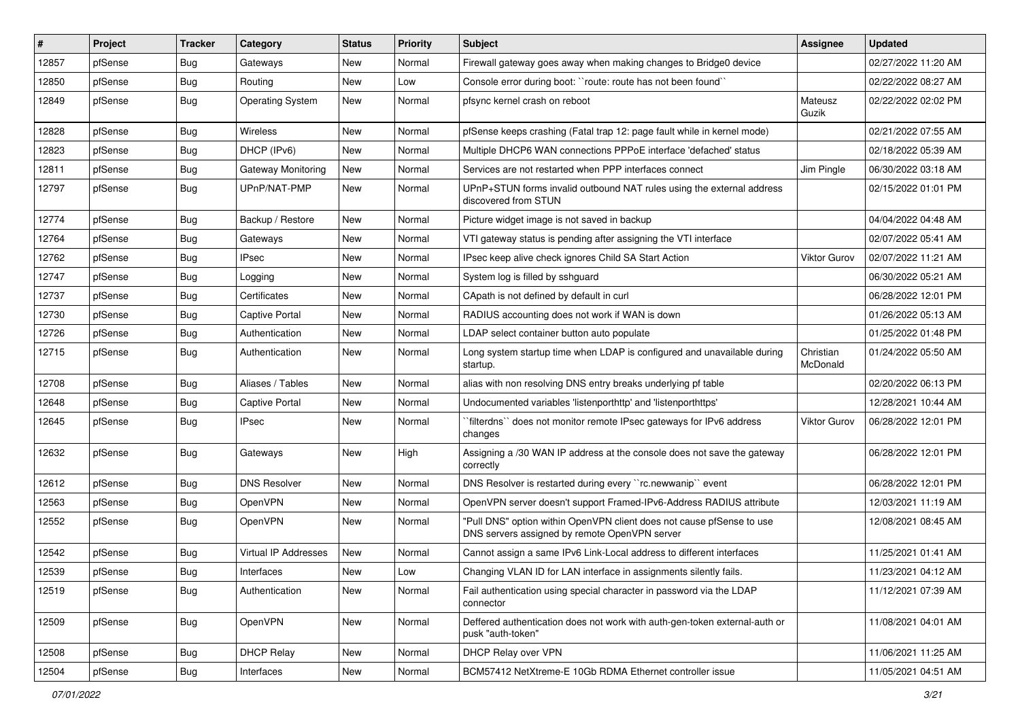| $\vert$ # | Project | <b>Tracker</b> | Category                    | <b>Status</b> | <b>Priority</b> | <b>Subject</b>                                                                                                         | Assignee              | <b>Updated</b>      |
|-----------|---------|----------------|-----------------------------|---------------|-----------------|------------------------------------------------------------------------------------------------------------------------|-----------------------|---------------------|
| 12857     | pfSense | Bug            | Gateways                    | New           | Normal          | Firewall gateway goes away when making changes to Bridge0 device                                                       |                       | 02/27/2022 11:20 AM |
| 12850     | pfSense | Bug            | Routing                     | New           | Low             | Console error during boot: "route: route has not been found"                                                           |                       | 02/22/2022 08:27 AM |
| 12849     | pfSense | Bug            | <b>Operating System</b>     | New           | Normal          | pfsync kernel crash on reboot                                                                                          | Mateusz<br>Guzik      | 02/22/2022 02:02 PM |
| 12828     | pfSense | Bug            | Wireless                    | New           | Normal          | pfSense keeps crashing (Fatal trap 12: page fault while in kernel mode)                                                |                       | 02/21/2022 07:55 AM |
| 12823     | pfSense | Bug            | DHCP (IPv6)                 | New           | Normal          | Multiple DHCP6 WAN connections PPPoE interface 'defached' status                                                       |                       | 02/18/2022 05:39 AM |
| 12811     | pfSense | Bug            | Gateway Monitoring          | New           | Normal          | Services are not restarted when PPP interfaces connect                                                                 | Jim Pingle            | 06/30/2022 03:18 AM |
| 12797     | pfSense | Bug            | UPnP/NAT-PMP                | New           | Normal          | UPnP+STUN forms invalid outbound NAT rules using the external address<br>discovered from STUN                          |                       | 02/15/2022 01:01 PM |
| 12774     | pfSense | Bug            | Backup / Restore            | New           | Normal          | Picture widget image is not saved in backup                                                                            |                       | 04/04/2022 04:48 AM |
| 12764     | pfSense | Bug            | Gateways                    | New           | Normal          | VTI gateway status is pending after assigning the VTI interface                                                        |                       | 02/07/2022 05:41 AM |
| 12762     | pfSense | Bug            | <b>IPsec</b>                | New           | Normal          | IPsec keep alive check ignores Child SA Start Action                                                                   | Viktor Gurov          | 02/07/2022 11:21 AM |
| 12747     | pfSense | Bug            | Logging                     | New           | Normal          | System log is filled by sshguard                                                                                       |                       | 06/30/2022 05:21 AM |
| 12737     | pfSense | Bug            | Certificates                | New           | Normal          | CApath is not defined by default in curl                                                                               |                       | 06/28/2022 12:01 PM |
| 12730     | pfSense | Bug            | <b>Captive Portal</b>       | New           | Normal          | RADIUS accounting does not work if WAN is down                                                                         |                       | 01/26/2022 05:13 AM |
| 12726     | pfSense | Bug            | Authentication              | New           | Normal          | LDAP select container button auto populate                                                                             |                       | 01/25/2022 01:48 PM |
| 12715     | pfSense | Bug            | Authentication              | New           | Normal          | Long system startup time when LDAP is configured and unavailable during<br>startup.                                    | Christian<br>McDonald | 01/24/2022 05:50 AM |
| 12708     | pfSense | Bug            | Aliases / Tables            | New           | Normal          | alias with non resolving DNS entry breaks underlying pf table                                                          |                       | 02/20/2022 06:13 PM |
| 12648     | pfSense | Bug            | <b>Captive Portal</b>       | New           | Normal          | Undocumented variables 'listenporthttp' and 'listenporthttps'                                                          |                       | 12/28/2021 10:44 AM |
| 12645     | pfSense | Bug            | <b>IPsec</b>                | New           | Normal          | `filterdns`` does not monitor remote IPsec gateways for IPv6 address<br>changes                                        | Viktor Gurov          | 06/28/2022 12:01 PM |
| 12632     | pfSense | Bug            | Gateways                    | New           | High            | Assigning a /30 WAN IP address at the console does not save the gateway<br>correctly                                   |                       | 06/28/2022 12:01 PM |
| 12612     | pfSense | Bug            | <b>DNS Resolver</b>         | New           | Normal          | DNS Resolver is restarted during every "rc.newwanip" event                                                             |                       | 06/28/2022 12:01 PM |
| 12563     | pfSense | <b>Bug</b>     | OpenVPN                     | New           | Normal          | OpenVPN server doesn't support Framed-IPv6-Address RADIUS attribute                                                    |                       | 12/03/2021 11:19 AM |
| 12552     | pfSense | Bug            | OpenVPN                     | New           | Normal          | "Pull DNS" option within OpenVPN client does not cause pfSense to use<br>DNS servers assigned by remote OpenVPN server |                       | 12/08/2021 08:45 AM |
| 12542     | pfSense | Bug            | <b>Virtual IP Addresses</b> | New           | Normal          | Cannot assign a same IPv6 Link-Local address to different interfaces                                                   |                       | 11/25/2021 01:41 AM |
| 12539     | pfSense | Bug            | Interfaces                  | New           | Low             | Changing VLAN ID for LAN interface in assignments silently fails.                                                      |                       | 11/23/2021 04:12 AM |
| 12519     | pfSense | <b>Bug</b>     | Authentication              | New           | Normal          | Fail authentication using special character in password via the LDAP<br>connector                                      |                       | 11/12/2021 07:39 AM |
| 12509     | pfSense | Bug            | OpenVPN                     | New           | Normal          | Deffered authentication does not work with auth-gen-token external-auth or<br>pusk "auth-token"                        |                       | 11/08/2021 04:01 AM |
| 12508     | pfSense | <b>Bug</b>     | <b>DHCP Relay</b>           | New           | Normal          | DHCP Relay over VPN                                                                                                    |                       | 11/06/2021 11:25 AM |
| 12504     | pfSense | Bug            | Interfaces                  | New           | Normal          | BCM57412 NetXtreme-E 10Gb RDMA Ethernet controller issue                                                               |                       | 11/05/2021 04:51 AM |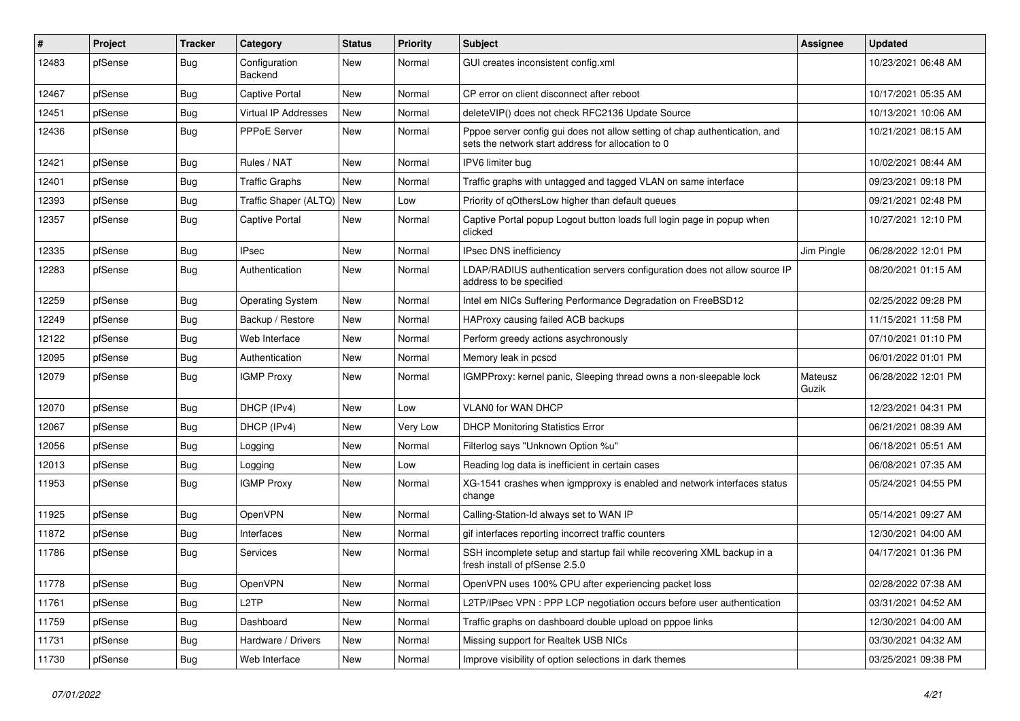| #     | Project | <b>Tracker</b> | Category                    | <b>Status</b> | <b>Priority</b> | <b>Subject</b>                                                                                                                   | Assignee         | <b>Updated</b>      |
|-------|---------|----------------|-----------------------------|---------------|-----------------|----------------------------------------------------------------------------------------------------------------------------------|------------------|---------------------|
| 12483 | pfSense | <b>Bug</b>     | Configuration<br>Backend    | New           | Normal          | GUI creates inconsistent config.xml                                                                                              |                  | 10/23/2021 06:48 AM |
| 12467 | pfSense | Bug            | <b>Captive Portal</b>       | New           | Normal          | CP error on client disconnect after reboot                                                                                       |                  | 10/17/2021 05:35 AM |
| 12451 | pfSense | Bug            | <b>Virtual IP Addresses</b> | New           | Normal          | deleteVIP() does not check RFC2136 Update Source                                                                                 |                  | 10/13/2021 10:06 AM |
| 12436 | pfSense | Bug            | PPPoE Server                | New           | Normal          | Pppoe server config gui does not allow setting of chap authentication, and<br>sets the network start address for allocation to 0 |                  | 10/21/2021 08:15 AM |
| 12421 | pfSense | Bug            | Rules / NAT                 | New           | Normal          | IPV6 limiter bug                                                                                                                 |                  | 10/02/2021 08:44 AM |
| 12401 | pfSense | Bug            | <b>Traffic Graphs</b>       | New           | Normal          | Traffic graphs with untagged and tagged VLAN on same interface                                                                   |                  | 09/23/2021 09:18 PM |
| 12393 | pfSense | Bug            | Traffic Shaper (ALTQ)       | New           | Low             | Priority of qOthersLow higher than default queues                                                                                |                  | 09/21/2021 02:48 PM |
| 12357 | pfSense | Bug            | <b>Captive Portal</b>       | New           | Normal          | Captive Portal popup Logout button loads full login page in popup when<br>clicked                                                |                  | 10/27/2021 12:10 PM |
| 12335 | pfSense | Bug            | <b>IPsec</b>                | New           | Normal          | IPsec DNS inefficiency                                                                                                           | Jim Pingle       | 06/28/2022 12:01 PM |
| 12283 | pfSense | Bug            | Authentication              | New           | Normal          | LDAP/RADIUS authentication servers configuration does not allow source IP<br>address to be specified                             |                  | 08/20/2021 01:15 AM |
| 12259 | pfSense | Bug            | <b>Operating System</b>     | New           | Normal          | Intel em NICs Suffering Performance Degradation on FreeBSD12                                                                     |                  | 02/25/2022 09:28 PM |
| 12249 | pfSense | Bug            | Backup / Restore            | New           | Normal          | HAProxy causing failed ACB backups                                                                                               |                  | 11/15/2021 11:58 PM |
| 12122 | pfSense | Bug            | Web Interface               | New           | Normal          | Perform greedy actions asychronously                                                                                             |                  | 07/10/2021 01:10 PM |
| 12095 | pfSense | <b>Bug</b>     | Authentication              | New           | Normal          | Memory leak in pcscd                                                                                                             |                  | 06/01/2022 01:01 PM |
| 12079 | pfSense | Bug            | <b>IGMP Proxy</b>           | New           | Normal          | IGMPProxy: kernel panic, Sleeping thread owns a non-sleepable lock                                                               | Mateusz<br>Guzik | 06/28/2022 12:01 PM |
| 12070 | pfSense | Bug            | DHCP (IPv4)                 | New           | Low             | <b>VLANO for WAN DHCP</b>                                                                                                        |                  | 12/23/2021 04:31 PM |
| 12067 | pfSense | Bug            | DHCP (IPv4)                 | New           | Very Low        | <b>DHCP Monitoring Statistics Error</b>                                                                                          |                  | 06/21/2021 08:39 AM |
| 12056 | pfSense | Bug            | Logging                     | New           | Normal          | Filterlog says "Unknown Option %u"                                                                                               |                  | 06/18/2021 05:51 AM |
| 12013 | pfSense | Bug            | Logging                     | New           | Low             | Reading log data is inefficient in certain cases                                                                                 |                  | 06/08/2021 07:35 AM |
| 11953 | pfSense | <b>Bug</b>     | <b>IGMP Proxy</b>           | New           | Normal          | XG-1541 crashes when igmpproxy is enabled and network interfaces status<br>change                                                |                  | 05/24/2021 04:55 PM |
| 11925 | pfSense | Bug            | OpenVPN                     | New           | Normal          | Calling-Station-Id always set to WAN IP                                                                                          |                  | 05/14/2021 09:27 AM |
| 11872 | pfSense | <b>Bug</b>     | Interfaces                  | New           | Normal          | gif interfaces reporting incorrect traffic counters                                                                              |                  | 12/30/2021 04:00 AM |
| 11786 | pfSense | Bug            | Services                    | New           | Normal          | SSH incomplete setup and startup fail while recovering XML backup in a<br>fresh install of pfSense 2.5.0                         |                  | 04/17/2021 01:36 PM |
| 11778 | pfSense | <b>Bug</b>     | OpenVPN                     | New           | Normal          | OpenVPN uses 100% CPU after experiencing packet loss                                                                             |                  | 02/28/2022 07:38 AM |
| 11761 | pfSense | <b>Bug</b>     | L <sub>2</sub> TP           | New           | Normal          | L2TP/IPsec VPN : PPP LCP negotiation occurs before user authentication                                                           |                  | 03/31/2021 04:52 AM |
| 11759 | pfSense | <b>Bug</b>     | Dashboard                   | New           | Normal          | Traffic graphs on dashboard double upload on pppoe links                                                                         |                  | 12/30/2021 04:00 AM |
| 11731 | pfSense | <b>Bug</b>     | Hardware / Drivers          | New           | Normal          | Missing support for Realtek USB NICs                                                                                             |                  | 03/30/2021 04:32 AM |
| 11730 | pfSense | Bug            | Web Interface               | New           | Normal          | Improve visibility of option selections in dark themes                                                                           |                  | 03/25/2021 09:38 PM |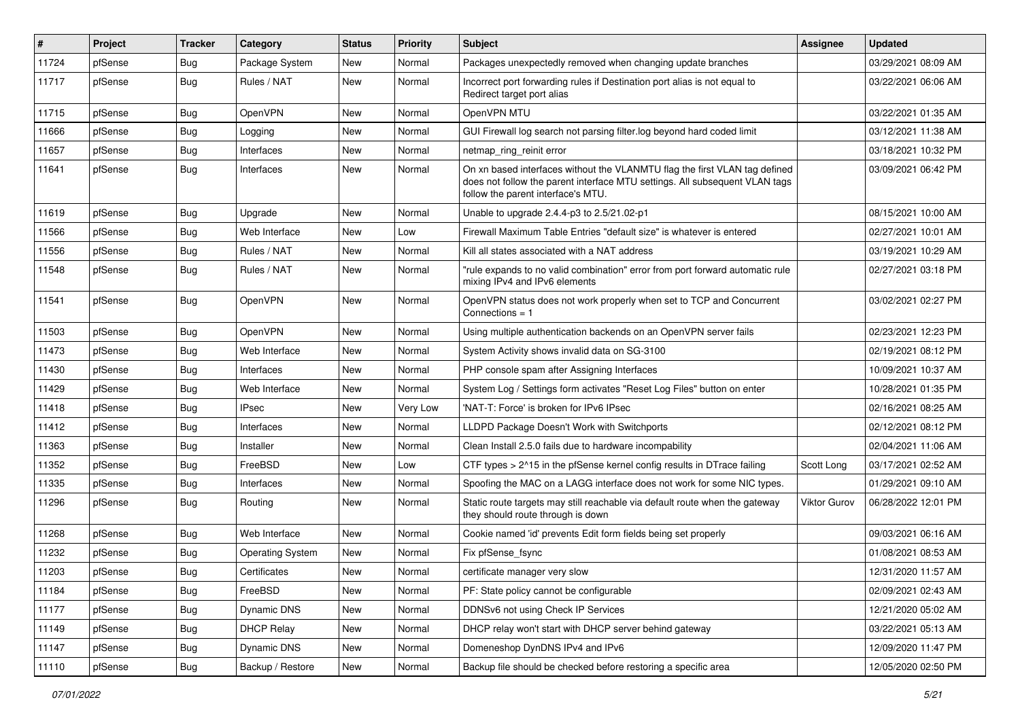| #     | Project | Tracker    | Category                | <b>Status</b> | <b>Priority</b> | <b>Subject</b>                                                                                                                                                                                  | <b>Assignee</b>     | <b>Updated</b>      |
|-------|---------|------------|-------------------------|---------------|-----------------|-------------------------------------------------------------------------------------------------------------------------------------------------------------------------------------------------|---------------------|---------------------|
| 11724 | pfSense | <b>Bug</b> | Package System          | New           | Normal          | Packages unexpectedly removed when changing update branches                                                                                                                                     |                     | 03/29/2021 08:09 AM |
| 11717 | pfSense | Bug        | Rules / NAT             | <b>New</b>    | Normal          | Incorrect port forwarding rules if Destination port alias is not equal to<br>Redirect target port alias                                                                                         |                     | 03/22/2021 06:06 AM |
| 11715 | pfSense | Bug        | OpenVPN                 | New           | Normal          | OpenVPN MTU                                                                                                                                                                                     |                     | 03/22/2021 01:35 AM |
| 11666 | pfSense | Bug        | Logging                 | New           | Normal          | GUI Firewall log search not parsing filter.log beyond hard coded limit                                                                                                                          |                     | 03/12/2021 11:38 AM |
| 11657 | pfSense | <b>Bug</b> | Interfaces              | New           | Normal          | netmap_ring_reinit error                                                                                                                                                                        |                     | 03/18/2021 10:32 PM |
| 11641 | pfSense | Bug        | Interfaces              | New           | Normal          | On xn based interfaces without the VLANMTU flag the first VLAN tag defined<br>does not follow the parent interface MTU settings. All subsequent VLAN tags<br>follow the parent interface's MTU. |                     | 03/09/2021 06:42 PM |
| 11619 | pfSense | <b>Bug</b> | Upgrade                 | <b>New</b>    | Normal          | Unable to upgrade 2.4.4-p3 to 2.5/21.02-p1                                                                                                                                                      |                     | 08/15/2021 10:00 AM |
| 11566 | pfSense | Bug        | Web Interface           | New           | Low             | Firewall Maximum Table Entries "default size" is whatever is entered                                                                                                                            |                     | 02/27/2021 10:01 AM |
| 11556 | pfSense | <b>Bug</b> | Rules / NAT             | New           | Normal          | Kill all states associated with a NAT address                                                                                                                                                   |                     | 03/19/2021 10:29 AM |
| 11548 | pfSense | Bug        | Rules / NAT             | New           | Normal          | "rule expands to no valid combination" error from port forward automatic rule<br>mixing IPv4 and IPv6 elements                                                                                  |                     | 02/27/2021 03:18 PM |
| 11541 | pfSense | <b>Bug</b> | OpenVPN                 | New           | Normal          | OpenVPN status does not work properly when set to TCP and Concurrent<br>Connections $= 1$                                                                                                       |                     | 03/02/2021 02:27 PM |
| 11503 | pfSense | <b>Bug</b> | OpenVPN                 | New           | Normal          | Using multiple authentication backends on an OpenVPN server fails                                                                                                                               |                     | 02/23/2021 12:23 PM |
| 11473 | pfSense | <b>Bug</b> | Web Interface           | New           | Normal          | System Activity shows invalid data on SG-3100                                                                                                                                                   |                     | 02/19/2021 08:12 PM |
| 11430 | pfSense | <b>Bug</b> | Interfaces              | New           | Normal          | PHP console spam after Assigning Interfaces                                                                                                                                                     |                     | 10/09/2021 10:37 AM |
| 11429 | pfSense | <b>Bug</b> | Web Interface           | New           | Normal          | System Log / Settings form activates "Reset Log Files" button on enter                                                                                                                          |                     | 10/28/2021 01:35 PM |
| 11418 | pfSense | Bug        | <b>IPsec</b>            | New           | Very Low        | 'NAT-T: Force' is broken for IPv6 IPsec                                                                                                                                                         |                     | 02/16/2021 08:25 AM |
| 11412 | pfSense | <b>Bug</b> | Interfaces              | New           | Normal          | LLDPD Package Doesn't Work with Switchports                                                                                                                                                     |                     | 02/12/2021 08:12 PM |
| 11363 | pfSense | <b>Bug</b> | Installer               | New           | Normal          | Clean Install 2.5.0 fails due to hardware incompability                                                                                                                                         |                     | 02/04/2021 11:06 AM |
| 11352 | pfSense | Bug        | FreeBSD                 | New           | Low             | CTF types > 2^15 in the pfSense kernel config results in DTrace failing                                                                                                                         | Scott Long          | 03/17/2021 02:52 AM |
| 11335 | pfSense | Bug        | Interfaces              | New           | Normal          | Spoofing the MAC on a LAGG interface does not work for some NIC types.                                                                                                                          |                     | 01/29/2021 09:10 AM |
| 11296 | pfSense | Bug        | Routing                 | New           | Normal          | Static route targets may still reachable via default route when the gateway<br>they should route through is down                                                                                | <b>Viktor Gurov</b> | 06/28/2022 12:01 PM |
| 11268 | pfSense | Bug        | Web Interface           | <b>New</b>    | Normal          | Cookie named 'id' prevents Edit form fields being set properly                                                                                                                                  |                     | 09/03/2021 06:16 AM |
| 11232 | pfSense | Bug        | <b>Operating System</b> | New           | Normal          | Fix pfSense_fsync                                                                                                                                                                               |                     | 01/08/2021 08:53 AM |
| 11203 | pfSense | Bug        | Certificates            | New           | Normal          | certificate manager very slow                                                                                                                                                                   |                     | 12/31/2020 11:57 AM |
| 11184 | pfSense | Bug        | FreeBSD                 | New           | Normal          | PF: State policy cannot be configurable                                                                                                                                                         |                     | 02/09/2021 02:43 AM |
| 11177 | pfSense | <b>Bug</b> | Dynamic DNS             | New           | Normal          | DDNSv6 not using Check IP Services                                                                                                                                                              |                     | 12/21/2020 05:02 AM |
| 11149 | pfSense | <b>Bug</b> | <b>DHCP Relay</b>       | New           | Normal          | DHCP relay won't start with DHCP server behind gateway                                                                                                                                          |                     | 03/22/2021 05:13 AM |
| 11147 | pfSense | <b>Bug</b> | Dynamic DNS             | New           | Normal          | Domeneshop DynDNS IPv4 and IPv6                                                                                                                                                                 |                     | 12/09/2020 11:47 PM |
| 11110 | pfSense | <b>Bug</b> | Backup / Restore        | New           | Normal          | Backup file should be checked before restoring a specific area                                                                                                                                  |                     | 12/05/2020 02:50 PM |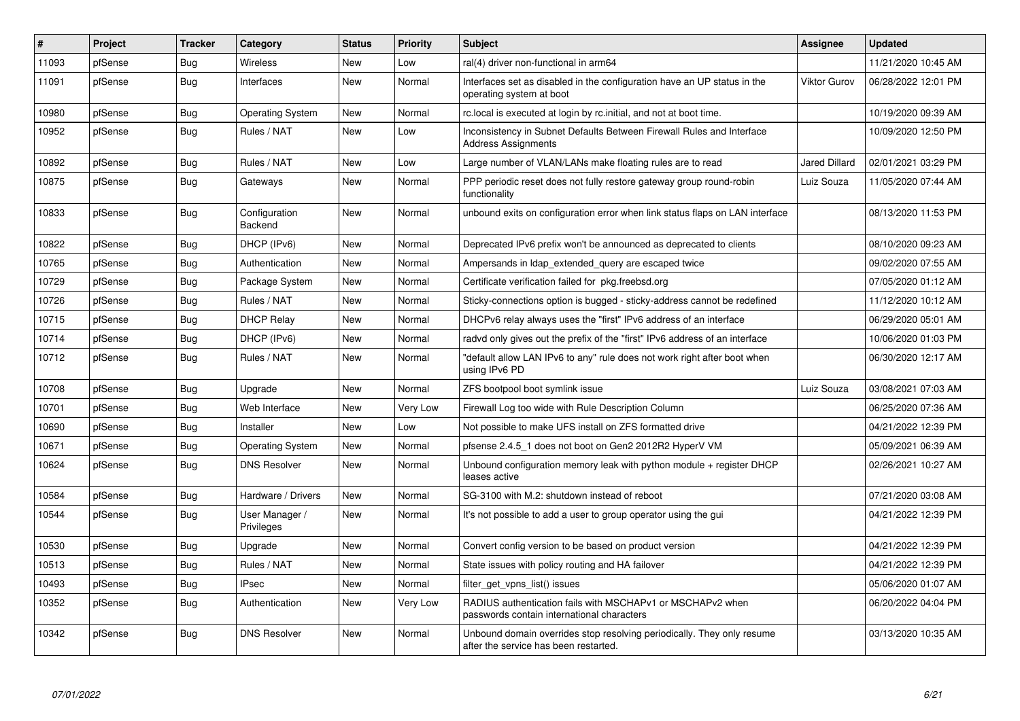| $\pmb{\#}$ | Project | <b>Tracker</b> | Category                     | <b>Status</b> | <b>Priority</b> | <b>Subject</b>                                                                                                  | Assignee             | <b>Updated</b>      |
|------------|---------|----------------|------------------------------|---------------|-----------------|-----------------------------------------------------------------------------------------------------------------|----------------------|---------------------|
| 11093      | pfSense | <b>Bug</b>     | Wireless                     | <b>New</b>    | Low             | ral(4) driver non-functional in arm64                                                                           |                      | 11/21/2020 10:45 AM |
| 11091      | pfSense | <b>Bug</b>     | Interfaces                   | New           | Normal          | Interfaces set as disabled in the configuration have an UP status in the<br>operating system at boot            | <b>Viktor Gurov</b>  | 06/28/2022 12:01 PM |
| 10980      | pfSense | Bug            | <b>Operating System</b>      | <b>New</b>    | Normal          | rc.local is executed at login by rc.initial, and not at boot time.                                              |                      | 10/19/2020 09:39 AM |
| 10952      | pfSense | <b>Bug</b>     | Rules / NAT                  | New           | Low             | Inconsistency in Subnet Defaults Between Firewall Rules and Interface<br><b>Address Assignments</b>             |                      | 10/09/2020 12:50 PM |
| 10892      | pfSense | Bug            | Rules / NAT                  | <b>New</b>    | Low             | Large number of VLAN/LANs make floating rules are to read                                                       | <b>Jared Dillard</b> | 02/01/2021 03:29 PM |
| 10875      | pfSense | <b>Bug</b>     | Gateways                     | New           | Normal          | PPP periodic reset does not fully restore gateway group round-robin<br>functionality                            | Luiz Souza           | 11/05/2020 07:44 AM |
| 10833      | pfSense | <b>Bug</b>     | Configuration<br>Backend     | <b>New</b>    | Normal          | unbound exits on configuration error when link status flaps on LAN interface                                    |                      | 08/13/2020 11:53 PM |
| 10822      | pfSense | Bug            | DHCP (IPv6)                  | <b>New</b>    | Normal          | Deprecated IPv6 prefix won't be announced as deprecated to clients                                              |                      | 08/10/2020 09:23 AM |
| 10765      | pfSense | <b>Bug</b>     | Authentication               | <b>New</b>    | Normal          | Ampersands in Idap_extended_query are escaped twice                                                             |                      | 09/02/2020 07:55 AM |
| 10729      | pfSense | Bug            | Package System               | New           | Normal          | Certificate verification failed for pkg freebsd.org                                                             |                      | 07/05/2020 01:12 AM |
| 10726      | pfSense | Bug            | Rules / NAT                  | New           | Normal          | Sticky-connections option is bugged - sticky-address cannot be redefined                                        |                      | 11/12/2020 10:12 AM |
| 10715      | pfSense | <b>Bug</b>     | <b>DHCP Relay</b>            | New           | Normal          | DHCPv6 relay always uses the "first" IPv6 address of an interface                                               |                      | 06/29/2020 05:01 AM |
| 10714      | pfSense | Bug            | DHCP (IPv6)                  | New           | Normal          | radvd only gives out the prefix of the "first" IPv6 address of an interface                                     |                      | 10/06/2020 01:03 PM |
| 10712      | pfSense | <b>Bug</b>     | Rules / NAT                  | <b>New</b>    | Normal          | "default allow LAN IPv6 to any" rule does not work right after boot when<br>using IPv6 PD                       |                      | 06/30/2020 12:17 AM |
| 10708      | pfSense | Bug            | Upgrade                      | New           | Normal          | ZFS bootpool boot symlink issue                                                                                 | Luiz Souza           | 03/08/2021 07:03 AM |
| 10701      | pfSense | Bug            | Web Interface                | <b>New</b>    | Very Low        | Firewall Log too wide with Rule Description Column                                                              |                      | 06/25/2020 07:36 AM |
| 10690      | pfSense | <b>Bug</b>     | Installer                    | <b>New</b>    | Low             | Not possible to make UFS install on ZFS formatted drive                                                         |                      | 04/21/2022 12:39 PM |
| 10671      | pfSense | <b>Bug</b>     | <b>Operating System</b>      | New           | Normal          | pfsense 2.4.5_1 does not boot on Gen2 2012R2 HyperV VM                                                          |                      | 05/09/2021 06:39 AM |
| 10624      | pfSense | Bug            | <b>DNS Resolver</b>          | New           | Normal          | Unbound configuration memory leak with python module $+$ register DHCP<br>leases active                         |                      | 02/26/2021 10:27 AM |
| 10584      | pfSense | Bug            | Hardware / Drivers           | New           | Normal          | SG-3100 with M.2: shutdown instead of reboot                                                                    |                      | 07/21/2020 03:08 AM |
| 10544      | pfSense | Bug            | User Manager /<br>Privileges | New           | Normal          | It's not possible to add a user to group operator using the gui                                                 |                      | 04/21/2022 12:39 PM |
| 10530      | pfSense | <b>Bug</b>     | Upgrade                      | New           | Normal          | Convert config version to be based on product version                                                           |                      | 04/21/2022 12:39 PM |
| 10513      | pfSense | Bug            | Rules / NAT                  | New           | Normal          | State issues with policy routing and HA failover                                                                |                      | 04/21/2022 12:39 PM |
| 10493      | pfSense | <b>Bug</b>     | <b>IPsec</b>                 | New           | Normal          | filter get vpns list() issues                                                                                   |                      | 05/06/2020 01:07 AM |
| 10352      | pfSense | Bug            | Authentication               | New           | Very Low        | RADIUS authentication fails with MSCHAPv1 or MSCHAPv2 when<br>passwords contain international characters        |                      | 06/20/2022 04:04 PM |
| 10342      | pfSense | Bug            | <b>DNS Resolver</b>          | New           | Normal          | Unbound domain overrides stop resolving periodically. They only resume<br>after the service has been restarted. |                      | 03/13/2020 10:35 AM |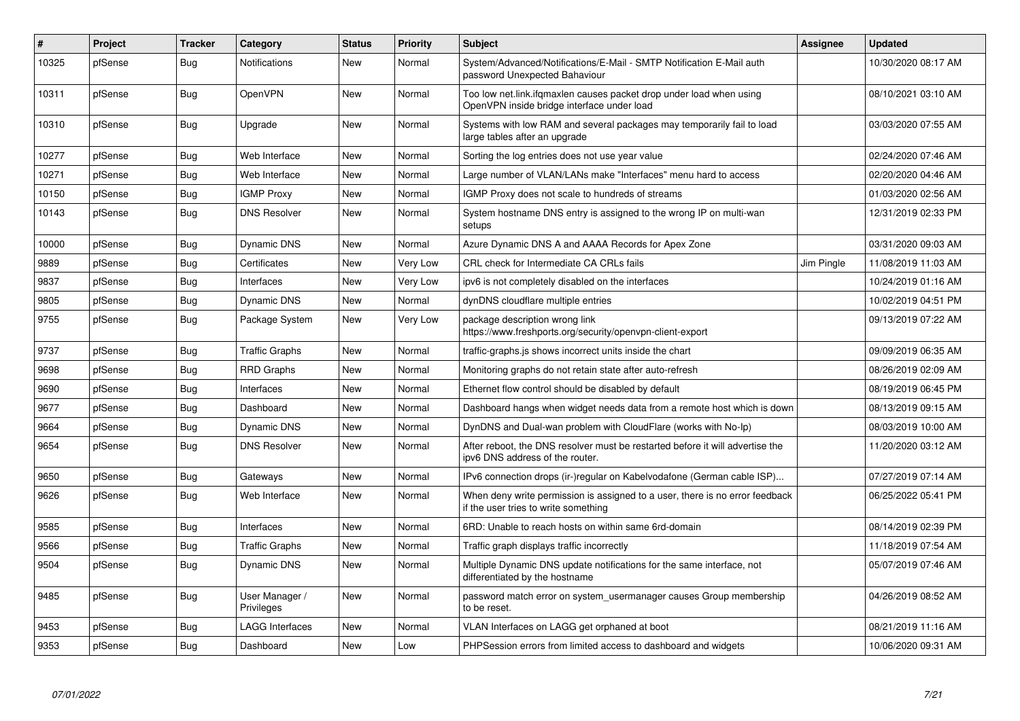| $\#$  | Project | <b>Tracker</b> | Category                     | <b>Status</b> | <b>Priority</b> | <b>Subject</b>                                                                                                       | <b>Assignee</b> | <b>Updated</b>      |
|-------|---------|----------------|------------------------------|---------------|-----------------|----------------------------------------------------------------------------------------------------------------------|-----------------|---------------------|
| 10325 | pfSense | Bug            | <b>Notifications</b>         | New           | Normal          | System/Advanced/Notifications/E-Mail - SMTP Notification E-Mail auth<br>password Unexpected Bahaviour                |                 | 10/30/2020 08:17 AM |
| 10311 | pfSense | Bug            | OpenVPN                      | <b>New</b>    | Normal          | Too low net.link.ifgmaxlen causes packet drop under load when using<br>OpenVPN inside bridge interface under load    |                 | 08/10/2021 03:10 AM |
| 10310 | pfSense | <b>Bug</b>     | Upgrade                      | <b>New</b>    | Normal          | Systems with low RAM and several packages may temporarily fail to load<br>large tables after an upgrade              |                 | 03/03/2020 07:55 AM |
| 10277 | pfSense | <b>Bug</b>     | Web Interface                | New           | Normal          | Sorting the log entries does not use year value                                                                      |                 | 02/24/2020 07:46 AM |
| 10271 | pfSense | Bug            | Web Interface                | New           | Normal          | Large number of VLAN/LANs make "Interfaces" menu hard to access                                                      |                 | 02/20/2020 04:46 AM |
| 10150 | pfSense | <b>Bug</b>     | <b>IGMP Proxy</b>            | <b>New</b>    | Normal          | IGMP Proxy does not scale to hundreds of streams                                                                     |                 | 01/03/2020 02:56 AM |
| 10143 | pfSense | Bug            | <b>DNS Resolver</b>          | New           | Normal          | System hostname DNS entry is assigned to the wrong IP on multi-wan<br>setups                                         |                 | 12/31/2019 02:33 PM |
| 10000 | pfSense | <b>Bug</b>     | Dynamic DNS                  | New           | Normal          | Azure Dynamic DNS A and AAAA Records for Apex Zone                                                                   |                 | 03/31/2020 09:03 AM |
| 9889  | pfSense | <b>Bug</b>     | Certificates                 | <b>New</b>    | Very Low        | CRL check for Intermediate CA CRLs fails                                                                             | Jim Pingle      | 11/08/2019 11:03 AM |
| 9837  | pfSense | <b>Bug</b>     | Interfaces                   | New           | Very Low        | ipv6 is not completely disabled on the interfaces                                                                    |                 | 10/24/2019 01:16 AM |
| 9805  | pfSense | Bug            | <b>Dynamic DNS</b>           | New           | Normal          | dynDNS cloudflare multiple entries                                                                                   |                 | 10/02/2019 04:51 PM |
| 9755  | pfSense | <b>Bug</b>     | Package System               | New           | Very Low        | package description wrong link<br>https://www.freshports.org/security/openvpn-client-export                          |                 | 09/13/2019 07:22 AM |
| 9737  | pfSense | Bug            | <b>Traffic Graphs</b>        | <b>New</b>    | Normal          | traffic-graphs is shows incorrect units inside the chart                                                             |                 | 09/09/2019 06:35 AM |
| 9698  | pfSense | <b>Bug</b>     | <b>RRD Graphs</b>            | New           | Normal          | Monitoring graphs do not retain state after auto-refresh                                                             |                 | 08/26/2019 02:09 AM |
| 9690  | pfSense | <b>Bug</b>     | Interfaces                   | <b>New</b>    | Normal          | Ethernet flow control should be disabled by default                                                                  |                 | 08/19/2019 06:45 PM |
| 9677  | pfSense | <b>Bug</b>     | Dashboard                    | New           | Normal          | Dashboard hangs when widget needs data from a remote host which is down                                              |                 | 08/13/2019 09:15 AM |
| 9664  | pfSense | Bug            | Dynamic DNS                  | New           | Normal          | DynDNS and Dual-wan problem with CloudFlare (works with No-Ip)                                                       |                 | 08/03/2019 10:00 AM |
| 9654  | pfSense | Bug            | <b>DNS Resolver</b>          | New           | Normal          | After reboot, the DNS resolver must be restarted before it will advertise the<br>ipv6 DNS address of the router.     |                 | 11/20/2020 03:12 AM |
| 9650  | pfSense | Bug            | Gateways                     | New           | Normal          | IPv6 connection drops (ir-)regular on Kabelvodafone (German cable ISP)                                               |                 | 07/27/2019 07:14 AM |
| 9626  | pfSense | Bug            | Web Interface                | New           | Normal          | When deny write permission is assigned to a user, there is no error feedback<br>if the user tries to write something |                 | 06/25/2022 05:41 PM |
| 9585  | pfSense | Bug            | Interfaces                   | New           | Normal          | 6RD: Unable to reach hosts on within same 6rd-domain                                                                 |                 | 08/14/2019 02:39 PM |
| 9566  | pfSense | <b>Bug</b>     | <b>Traffic Graphs</b>        | New           | Normal          | Traffic graph displays traffic incorrectly                                                                           |                 | 11/18/2019 07:54 AM |
| 9504  | pfSense | Bug            | Dynamic DNS                  | New           | Normal          | Multiple Dynamic DNS update notifications for the same interface, not<br>differentiated by the hostname              |                 | 05/07/2019 07:46 AM |
| 9485  | pfSense | Bug            | User Manager /<br>Privileges | New           | Normal          | password match error on system usermanager causes Group membership<br>to be reset.                                   |                 | 04/26/2019 08:52 AM |
| 9453  | pfSense | <b>Bug</b>     | LAGG Interfaces              | New           | Normal          | VLAN Interfaces on LAGG get orphaned at boot                                                                         |                 | 08/21/2019 11:16 AM |
| 9353  | pfSense | Bug            | Dashboard                    | New           | Low             | PHPSession errors from limited access to dashboard and widgets                                                       |                 | 10/06/2020 09:31 AM |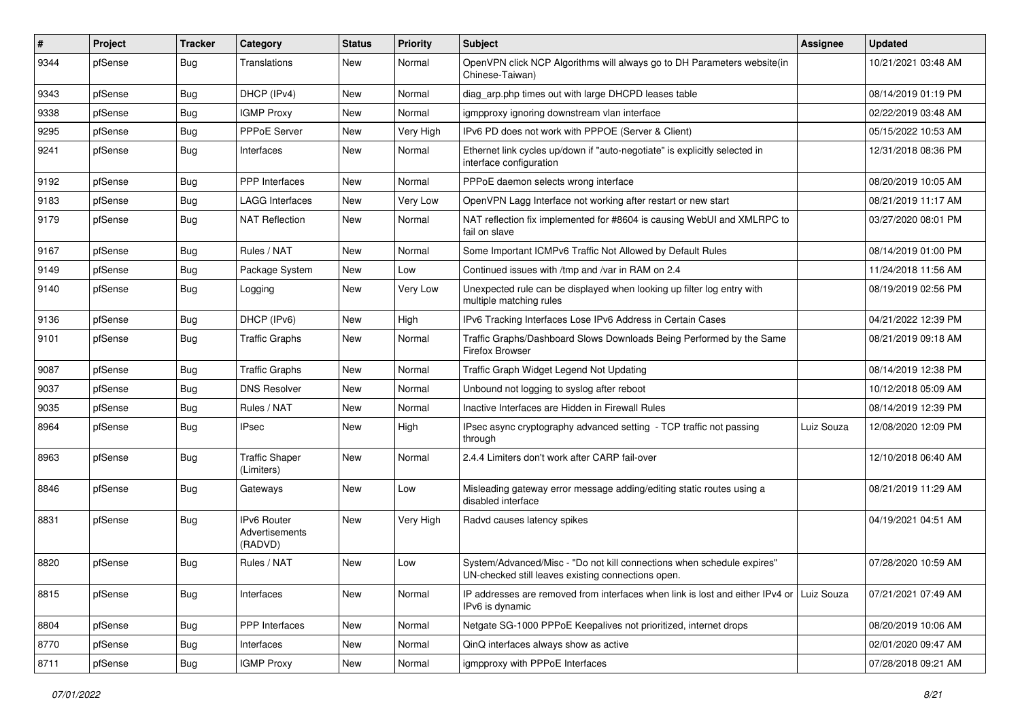| #    | Project | <b>Tracker</b> | Category                                        | <b>Status</b> | <b>Priority</b> | <b>Subject</b>                                                                                                               | Assignee   | <b>Updated</b>      |
|------|---------|----------------|-------------------------------------------------|---------------|-----------------|------------------------------------------------------------------------------------------------------------------------------|------------|---------------------|
| 9344 | pfSense | Bug            | Translations                                    | New           | Normal          | OpenVPN click NCP Algorithms will always go to DH Parameters website(in<br>Chinese-Taiwan)                                   |            | 10/21/2021 03:48 AM |
| 9343 | pfSense | Bug            | DHCP (IPv4)                                     | New           | Normal          | diag_arp.php times out with large DHCPD leases table                                                                         |            | 08/14/2019 01:19 PM |
| 9338 | pfSense | <b>Bug</b>     | <b>IGMP Proxy</b>                               | New           | Normal          | igmpproxy ignoring downstream vlan interface                                                                                 |            | 02/22/2019 03:48 AM |
| 9295 | pfSense | Bug            | PPPoE Server                                    | New           | Very High       | IPv6 PD does not work with PPPOE (Server & Client)                                                                           |            | 05/15/2022 10:53 AM |
| 9241 | pfSense | Bug            | Interfaces                                      | New           | Normal          | Ethernet link cycles up/down if "auto-negotiate" is explicitly selected in<br>interface configuration                        |            | 12/31/2018 08:36 PM |
| 9192 | pfSense | Bug            | <b>PPP</b> Interfaces                           | New           | Normal          | PPPoE daemon selects wrong interface                                                                                         |            | 08/20/2019 10:05 AM |
| 9183 | pfSense | Bug            | <b>LAGG Interfaces</b>                          | New           | Very Low        | OpenVPN Lagg Interface not working after restart or new start                                                                |            | 08/21/2019 11:17 AM |
| 9179 | pfSense | Bug            | <b>NAT Reflection</b>                           | New           | Normal          | NAT reflection fix implemented for #8604 is causing WebUI and XMLRPC to<br>fail on slave                                     |            | 03/27/2020 08:01 PM |
| 9167 | pfSense | Bug            | Rules / NAT                                     | New           | Normal          | Some Important ICMPv6 Traffic Not Allowed by Default Rules                                                                   |            | 08/14/2019 01:00 PM |
| 9149 | pfSense | Bug            | Package System                                  | New           | Low             | Continued issues with /tmp and /var in RAM on 2.4                                                                            |            | 11/24/2018 11:56 AM |
| 9140 | pfSense | Bug            | Logging                                         | New           | Very Low        | Unexpected rule can be displayed when looking up filter log entry with<br>multiple matching rules                            |            | 08/19/2019 02:56 PM |
| 9136 | pfSense | Bug            | DHCP (IPv6)                                     | New           | High            | IPv6 Tracking Interfaces Lose IPv6 Address in Certain Cases                                                                  |            | 04/21/2022 12:39 PM |
| 9101 | pfSense | Bug            | <b>Traffic Graphs</b>                           | New           | Normal          | Traffic Graphs/Dashboard Slows Downloads Being Performed by the Same<br>Firefox Browser                                      |            | 08/21/2019 09:18 AM |
| 9087 | pfSense | Bug            | <b>Traffic Graphs</b>                           | New           | Normal          | Traffic Graph Widget Legend Not Updating                                                                                     |            | 08/14/2019 12:38 PM |
| 9037 | pfSense | <b>Bug</b>     | <b>DNS Resolver</b>                             | New           | Normal          | Unbound not logging to syslog after reboot                                                                                   |            | 10/12/2018 05:09 AM |
| 9035 | pfSense | Bug            | Rules / NAT                                     | New           | Normal          | Inactive Interfaces are Hidden in Firewall Rules                                                                             |            | 08/14/2019 12:39 PM |
| 8964 | pfSense | <b>Bug</b>     | <b>IPsec</b>                                    | New           | High            | IPsec async cryptography advanced setting - TCP traffic not passing<br>through                                               | Luiz Souza | 12/08/2020 12:09 PM |
| 8963 | pfSense | Bug            | <b>Traffic Shaper</b><br>(Limiters)             | New           | Normal          | 2.4.4 Limiters don't work after CARP fail-over                                                                               |            | 12/10/2018 06:40 AM |
| 8846 | pfSense | Bug            | Gateways                                        | New           | Low             | Misleading gateway error message adding/editing static routes using a<br>disabled interface                                  |            | 08/21/2019 11:29 AM |
| 8831 | pfSense | <b>Bug</b>     | IPv6 Router<br><b>Advertisements</b><br>(RADVD) | <b>New</b>    | Very High       | Radvd causes latency spikes                                                                                                  |            | 04/19/2021 04:51 AM |
| 8820 | pfSense | Bug            | Rules / NAT                                     | <b>New</b>    | Low             | System/Advanced/Misc - "Do not kill connections when schedule expires"<br>UN-checked still leaves existing connections open. |            | 07/28/2020 10:59 AM |
| 8815 | pfSense | <b>Bug</b>     | Interfaces                                      | New           | Normal          | IP addresses are removed from interfaces when link is lost and either IPv4 or   Luiz Souza<br>IPv6 is dynamic                |            | 07/21/2021 07:49 AM |
| 8804 | pfSense | <b>Bug</b>     | PPP Interfaces                                  | New           | Normal          | Netgate SG-1000 PPPoE Keepalives not prioritized, internet drops                                                             |            | 08/20/2019 10:06 AM |
| 8770 | pfSense | <b>Bug</b>     | Interfaces                                      | New           | Normal          | QinQ interfaces always show as active                                                                                        |            | 02/01/2020 09:47 AM |
| 8711 | pfSense | <b>Bug</b>     | <b>IGMP Proxy</b>                               | New           | Normal          | igmpproxy with PPPoE Interfaces                                                                                              |            | 07/28/2018 09:21 AM |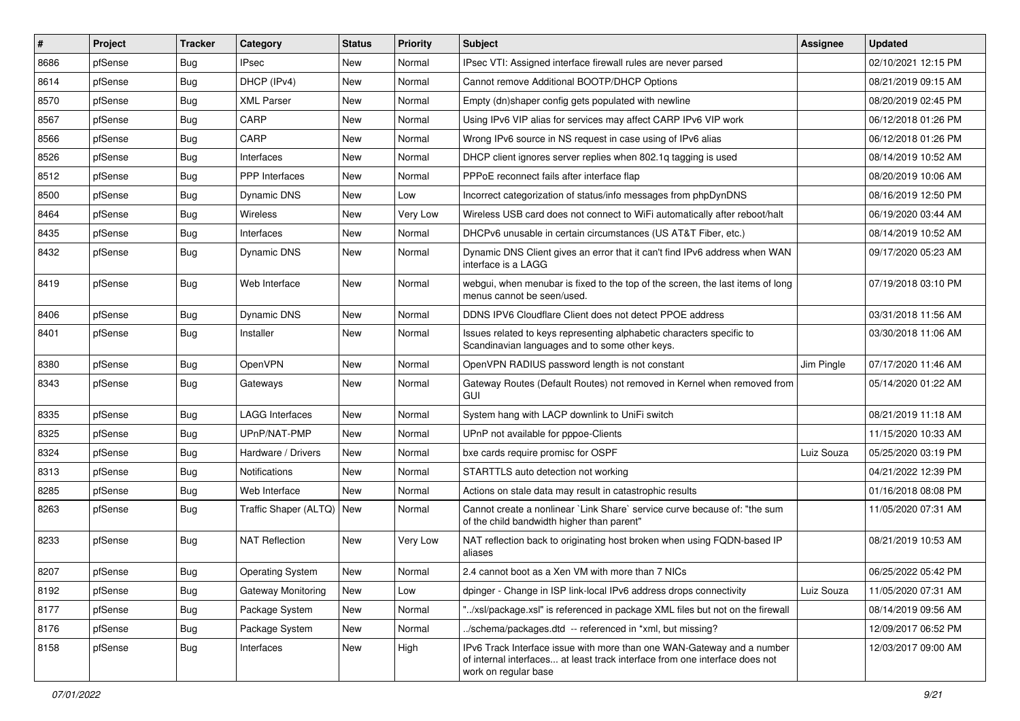| #    | Project | <b>Tracker</b> | Category                  | <b>Status</b> | <b>Priority</b> | Subject                                                                                                                                                                       | <b>Assignee</b> | <b>Updated</b>      |
|------|---------|----------------|---------------------------|---------------|-----------------|-------------------------------------------------------------------------------------------------------------------------------------------------------------------------------|-----------------|---------------------|
| 8686 | pfSense | <b>Bug</b>     | IPsec                     | New           | Normal          | IPsec VTI: Assigned interface firewall rules are never parsed                                                                                                                 |                 | 02/10/2021 12:15 PM |
| 8614 | pfSense | Bug            | DHCP (IPv4)               | New           | Normal          | Cannot remove Additional BOOTP/DHCP Options                                                                                                                                   |                 | 08/21/2019 09:15 AM |
| 8570 | pfSense | Bug            | <b>XML Parser</b>         | New           | Normal          | Empty (dn)shaper config gets populated with newline                                                                                                                           |                 | 08/20/2019 02:45 PM |
| 8567 | pfSense | <b>Bug</b>     | CARP                      | New           | Normal          | Using IPv6 VIP alias for services may affect CARP IPv6 VIP work                                                                                                               |                 | 06/12/2018 01:26 PM |
| 8566 | pfSense | Bug            | CARP                      | New           | Normal          | Wrong IPv6 source in NS request in case using of IPv6 alias                                                                                                                   |                 | 06/12/2018 01:26 PM |
| 8526 | pfSense | <b>Bug</b>     | Interfaces                | New           | Normal          | DHCP client ignores server replies when 802.1q tagging is used                                                                                                                |                 | 08/14/2019 10:52 AM |
| 8512 | pfSense | <b>Bug</b>     | <b>PPP</b> Interfaces     | New           | Normal          | PPPoE reconnect fails after interface flap                                                                                                                                    |                 | 08/20/2019 10:06 AM |
| 8500 | pfSense | <b>Bug</b>     | Dynamic DNS               | New           | Low             | Incorrect categorization of status/info messages from phpDynDNS                                                                                                               |                 | 08/16/2019 12:50 PM |
| 8464 | pfSense | <b>Bug</b>     | Wireless                  | New           | Very Low        | Wireless USB card does not connect to WiFi automatically after reboot/halt                                                                                                    |                 | 06/19/2020 03:44 AM |
| 8435 | pfSense | <b>Bug</b>     | Interfaces                | New           | Normal          | DHCPv6 unusable in certain circumstances (US AT&T Fiber, etc.)                                                                                                                |                 | 08/14/2019 10:52 AM |
| 8432 | pfSense | <b>Bug</b>     | Dynamic DNS               | New           | Normal          | Dynamic DNS Client gives an error that it can't find IPv6 address when WAN<br>interface is a LAGG                                                                             |                 | 09/17/2020 05:23 AM |
| 8419 | pfSense | Bug            | Web Interface             | New           | Normal          | webgui, when menubar is fixed to the top of the screen, the last items of long<br>menus cannot be seen/used.                                                                  |                 | 07/19/2018 03:10 PM |
| 8406 | pfSense | Bug            | Dynamic DNS               | New           | Normal          | DDNS IPV6 Cloudflare Client does not detect PPOE address                                                                                                                      |                 | 03/31/2018 11:56 AM |
| 8401 | pfSense | <b>Bug</b>     | Installer                 | New           | Normal          | Issues related to keys representing alphabetic characters specific to<br>Scandinavian languages and to some other keys.                                                       |                 | 03/30/2018 11:06 AM |
| 8380 | pfSense | <b>Bug</b>     | OpenVPN                   | New           | Normal          | OpenVPN RADIUS password length is not constant                                                                                                                                | Jim Pingle      | 07/17/2020 11:46 AM |
| 8343 | pfSense | Bug            | Gateways                  | New           | Normal          | Gateway Routes (Default Routes) not removed in Kernel when removed from<br>GUI                                                                                                |                 | 05/14/2020 01:22 AM |
| 8335 | pfSense | Bug            | <b>LAGG Interfaces</b>    | New           | Normal          | System hang with LACP downlink to UniFi switch                                                                                                                                |                 | 08/21/2019 11:18 AM |
| 8325 | pfSense | <b>Bug</b>     | UPnP/NAT-PMP              | New           | Normal          | UPnP not available for pppoe-Clients                                                                                                                                          |                 | 11/15/2020 10:33 AM |
| 8324 | pfSense | <b>Bug</b>     | Hardware / Drivers        | New           | Normal          | bxe cards require promisc for OSPF                                                                                                                                            | Luiz Souza      | 05/25/2020 03:19 PM |
| 8313 | pfSense | <b>Bug</b>     | Notifications             | <b>New</b>    | Normal          | STARTTLS auto detection not working                                                                                                                                           |                 | 04/21/2022 12:39 PM |
| 8285 | pfSense | <b>Bug</b>     | Web Interface             | New           | Normal          | Actions on stale data may result in catastrophic results                                                                                                                      |                 | 01/16/2018 08:08 PM |
| 8263 | pfSense | <b>Bug</b>     | Traffic Shaper (ALTQ)     | New           | Normal          | Cannot create a nonlinear `Link Share` service curve because of: "the sum<br>of the child bandwidth higher than parent"                                                       |                 | 11/05/2020 07:31 AM |
| 8233 | pfSense | Bug            | <b>NAT Reflection</b>     | New           | Very Low        | NAT reflection back to originating host broken when using FQDN-based IP<br>aliases                                                                                            |                 | 08/21/2019 10:53 AM |
| 8207 | pfSense | Bug            | <b>Operating System</b>   | New           | Normal          | 2.4 cannot boot as a Xen VM with more than 7 NICs                                                                                                                             |                 | 06/25/2022 05:42 PM |
| 8192 | pfSense | Bug            | <b>Gateway Monitoring</b> | New           | Low             | dpinger - Change in ISP link-local IPv6 address drops connectivity                                                                                                            | Luiz Souza      | 11/05/2020 07:31 AM |
| 8177 | pfSense | <b>Bug</b>     | Package System            | New           | Normal          | "/xsl/package.xsl" is referenced in package XML files but not on the firewall                                                                                                 |                 | 08/14/2019 09:56 AM |
| 8176 | pfSense | <b>Bug</b>     | Package System            | New           | Normal          | ./schema/packages.dtd -- referenced in *xml, but missing?                                                                                                                     |                 | 12/09/2017 06:52 PM |
| 8158 | pfSense | Bug            | Interfaces                | New           | High            | IPv6 Track Interface issue with more than one WAN-Gateway and a number<br>of internal interfaces at least track interface from one interface does not<br>work on regular base |                 | 12/03/2017 09:00 AM |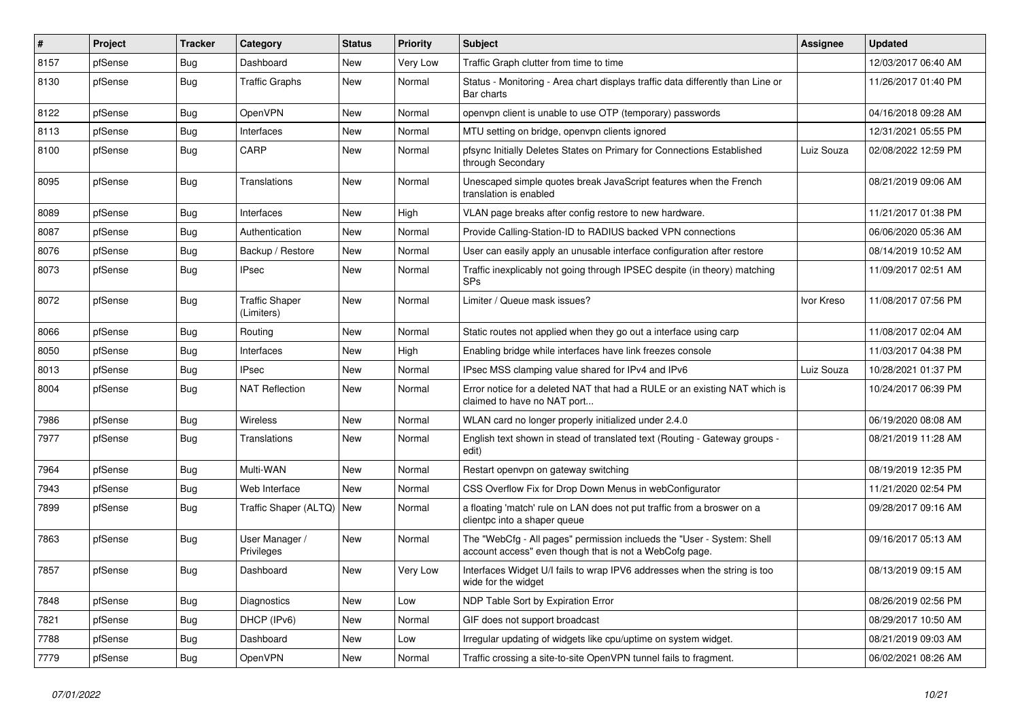| $\vert$ # | Project | <b>Tracker</b> | Category                            | <b>Status</b> | <b>Priority</b> | Subject                                                                                                                           | Assignee   | <b>Updated</b>      |
|-----------|---------|----------------|-------------------------------------|---------------|-----------------|-----------------------------------------------------------------------------------------------------------------------------------|------------|---------------------|
| 8157      | pfSense | <b>Bug</b>     | Dashboard                           | New           | Very Low        | Traffic Graph clutter from time to time                                                                                           |            | 12/03/2017 06:40 AM |
| 8130      | pfSense | <b>Bug</b>     | <b>Traffic Graphs</b>               | New           | Normal          | Status - Monitoring - Area chart displays traffic data differently than Line or<br>Bar charts                                     |            | 11/26/2017 01:40 PM |
| 8122      | pfSense | <b>Bug</b>     | OpenVPN                             | New           | Normal          | openvpn client is unable to use OTP (temporary) passwords                                                                         |            | 04/16/2018 09:28 AM |
| 8113      | pfSense | <b>Bug</b>     | Interfaces                          | New           | Normal          | MTU setting on bridge, openvpn clients ignored                                                                                    |            | 12/31/2021 05:55 PM |
| 8100      | pfSense | <b>Bug</b>     | CARP                                | New           | Normal          | pfsync Initially Deletes States on Primary for Connections Established<br>through Secondary                                       | Luiz Souza | 02/08/2022 12:59 PM |
| 8095      | pfSense | Bug            | Translations                        | New           | Normal          | Unescaped simple quotes break JavaScript features when the French<br>translation is enabled                                       |            | 08/21/2019 09:06 AM |
| 8089      | pfSense | Bug            | Interfaces                          | <b>New</b>    | High            | VLAN page breaks after config restore to new hardware.                                                                            |            | 11/21/2017 01:38 PM |
| 8087      | pfSense | <b>Bug</b>     | Authentication                      | New           | Normal          | Provide Calling-Station-ID to RADIUS backed VPN connections                                                                       |            | 06/06/2020 05:36 AM |
| 8076      | pfSense | <b>Bug</b>     | Backup / Restore                    | New           | Normal          | User can easily apply an unusable interface configuration after restore                                                           |            | 08/14/2019 10:52 AM |
| 8073      | pfSense | <b>Bug</b>     | <b>IPsec</b>                        | New           | Normal          | Traffic inexplicably not going through IPSEC despite (in theory) matching<br>SPs                                                  |            | 11/09/2017 02:51 AM |
| 8072      | pfSense | <b>Bug</b>     | <b>Traffic Shaper</b><br>(Limiters) | New           | Normal          | Limiter / Queue mask issues?                                                                                                      | Ivor Kreso | 11/08/2017 07:56 PM |
| 8066      | pfSense | <b>Bug</b>     | Routing                             | <b>New</b>    | Normal          | Static routes not applied when they go out a interface using carp                                                                 |            | 11/08/2017 02:04 AM |
| 8050      | pfSense | Bug            | Interfaces                          | New           | High            | Enabling bridge while interfaces have link freezes console                                                                        |            | 11/03/2017 04:38 PM |
| 8013      | pfSense | <b>Bug</b>     | <b>IPsec</b>                        | New           | Normal          | IPsec MSS clamping value shared for IPv4 and IPv6                                                                                 | Luiz Souza | 10/28/2021 01:37 PM |
| 8004      | pfSense | Bug            | <b>NAT Reflection</b>               | New           | Normal          | Error notice for a deleted NAT that had a RULE or an existing NAT which is<br>claimed to have no NAT port                         |            | 10/24/2017 06:39 PM |
| 7986      | pfSense | <b>Bug</b>     | Wireless                            | New           | Normal          | WLAN card no longer properly initialized under 2.4.0                                                                              |            | 06/19/2020 08:08 AM |
| 7977      | pfSense | <b>Bug</b>     | Translations                        | New           | Normal          | English text shown in stead of translated text (Routing - Gateway groups -<br>edit)                                               |            | 08/21/2019 11:28 AM |
| 7964      | pfSense | <b>Bug</b>     | Multi-WAN                           | <b>New</b>    | Normal          | Restart openypn on gateway switching                                                                                              |            | 08/19/2019 12:35 PM |
| 7943      | pfSense | <b>Bug</b>     | Web Interface                       | New           | Normal          | CSS Overflow Fix for Drop Down Menus in webConfigurator                                                                           |            | 11/21/2020 02:54 PM |
| 7899      | pfSense | <b>Bug</b>     | Traffic Shaper (ALTQ)   New         |               | Normal          | a floating 'match' rule on LAN does not put traffic from a broswer on a<br>clientpc into a shaper queue                           |            | 09/28/2017 09:16 AM |
| 7863      | pfSense | <b>Bug</b>     | User Manager /<br>Privileges        | New           | Normal          | The "WebCfg - All pages" permission inclueds the "User - System: Shell<br>account access" even though that is not a WebCofg page. |            | 09/16/2017 05:13 AM |
| 7857      | pfSense | <b>Bug</b>     | Dashboard                           | New           | Very Low        | Interfaces Widget U/I fails to wrap IPV6 addresses when the string is too<br>wide for the widget                                  |            | 08/13/2019 09:15 AM |
| 7848      | pfSense | Bug            | Diagnostics                         | New           | Low             | NDP Table Sort by Expiration Error                                                                                                |            | 08/26/2019 02:56 PM |
| 7821      | pfSense | Bug            | DHCP (IPv6)                         | New           | Normal          | GIF does not support broadcast                                                                                                    |            | 08/29/2017 10:50 AM |
| 7788      | pfSense | <b>Bug</b>     | Dashboard                           | New           | Low             | Irregular updating of widgets like cpu/uptime on system widget.                                                                   |            | 08/21/2019 09:03 AM |
| 7779      | pfSense | <b>Bug</b>     | OpenVPN                             | New           | Normal          | Traffic crossing a site-to-site OpenVPN tunnel fails to fragment.                                                                 |            | 06/02/2021 08:26 AM |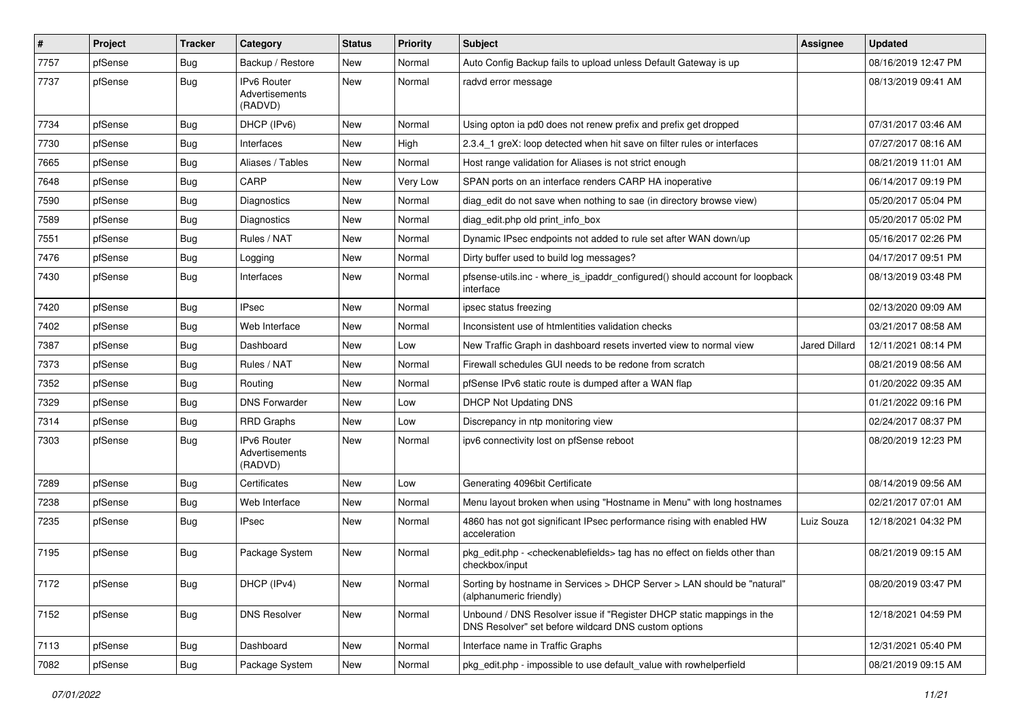| $\vert$ # | Project | <b>Tracker</b> | Category                                        | <b>Status</b> | <b>Priority</b> | <b>Subject</b>                                                                                                                | <b>Assignee</b> | <b>Updated</b>      |
|-----------|---------|----------------|-------------------------------------------------|---------------|-----------------|-------------------------------------------------------------------------------------------------------------------------------|-----------------|---------------------|
| 7757      | pfSense | <b>Bug</b>     | Backup / Restore                                | New           | Normal          | Auto Config Backup fails to upload unless Default Gateway is up                                                               |                 | 08/16/2019 12:47 PM |
| 7737      | pfSense | Bug            | <b>IPv6 Router</b><br>Advertisements<br>(RADVD) | New           | Normal          | radvd error message                                                                                                           |                 | 08/13/2019 09:41 AM |
| 7734      | pfSense | Bug            | DHCP (IPv6)                                     | <b>New</b>    | Normal          | Using opton ia pd0 does not renew prefix and prefix get dropped                                                               |                 | 07/31/2017 03:46 AM |
| 7730      | pfSense | Bug            | Interfaces                                      | New           | High            | 2.3.4 1 greX: loop detected when hit save on filter rules or interfaces                                                       |                 | 07/27/2017 08:16 AM |
| 7665      | pfSense | Bug            | Aliases / Tables                                | New           | Normal          | Host range validation for Aliases is not strict enough                                                                        |                 | 08/21/2019 11:01 AM |
| 7648      | pfSense | <b>Bug</b>     | CARP                                            | New           | Very Low        | SPAN ports on an interface renders CARP HA inoperative                                                                        |                 | 06/14/2017 09:19 PM |
| 7590      | pfSense | Bug            | <b>Diagnostics</b>                              | New           | Normal          | diag edit do not save when nothing to sae (in directory browse view)                                                          |                 | 05/20/2017 05:04 PM |
| 7589      | pfSense | Bug            | Diagnostics                                     | New           | Normal          | diag_edit.php old print_info_box                                                                                              |                 | 05/20/2017 05:02 PM |
| 7551      | pfSense | <b>Bug</b>     | Rules / NAT                                     | New           | Normal          | Dynamic IPsec endpoints not added to rule set after WAN down/up                                                               |                 | 05/16/2017 02:26 PM |
| 7476      | pfSense | Bug            | Logging                                         | New           | Normal          | Dirty buffer used to build log messages?                                                                                      |                 | 04/17/2017 09:51 PM |
| 7430      | pfSense | Bug            | Interfaces                                      | New           | Normal          | pfsense-utils.inc - where is ipaddr configured() should account for loopback<br>interface                                     |                 | 08/13/2019 03:48 PM |
| 7420      | pfSense | Bug            | <b>IPsec</b>                                    | New           | Normal          | ipsec status freezing                                                                                                         |                 | 02/13/2020 09:09 AM |
| 7402      | pfSense | <b>Bug</b>     | Web Interface                                   | New           | Normal          | Inconsistent use of htmlentities validation checks                                                                            |                 | 03/21/2017 08:58 AM |
| 7387      | pfSense | <b>Bug</b>     | Dashboard                                       | New           | Low             | New Traffic Graph in dashboard resets inverted view to normal view                                                            | Jared Dillard   | 12/11/2021 08:14 PM |
| 7373      | pfSense | Bug            | Rules / NAT                                     | New           | Normal          | Firewall schedules GUI needs to be redone from scratch                                                                        |                 | 08/21/2019 08:56 AM |
| 7352      | pfSense | Bug            | Routing                                         | New           | Normal          | pfSense IPv6 static route is dumped after a WAN flap                                                                          |                 | 01/20/2022 09:35 AM |
| 7329      | pfSense | Bug            | <b>DNS Forwarder</b>                            | New           | Low             | <b>DHCP Not Updating DNS</b>                                                                                                  |                 | 01/21/2022 09:16 PM |
| 7314      | pfSense | <b>Bug</b>     | <b>RRD Graphs</b>                               | New           | Low             | Discrepancy in ntp monitoring view                                                                                            |                 | 02/24/2017 08:37 PM |
| 7303      | pfSense | Bug            | IPv6 Router<br>Advertisements<br>(RADVD)        | New           | Normal          | ipv6 connectivity lost on pfSense reboot                                                                                      |                 | 08/20/2019 12:23 PM |
| 7289      | pfSense | <b>Bug</b>     | Certificates                                    | New           | Low             | Generating 4096bit Certificate                                                                                                |                 | 08/14/2019 09:56 AM |
| 7238      | pfSense | Bug            | Web Interface                                   | New           | Normal          | Menu layout broken when using "Hostname in Menu" with long hostnames                                                          |                 | 02/21/2017 07:01 AM |
| 7235      | pfSense | <b>Bug</b>     | IPsec                                           | New           | Normal          | 4860 has not got significant IPsec performance rising with enabled HW<br>acceleration                                         | Luiz Souza      | 12/18/2021 04:32 PM |
| 7195      | pfSense | <b>Bug</b>     | Package System                                  | New           | Normal          | pkg_edit.php - < checkenablefields > tag has no effect on fields other than<br>checkbox/input                                 |                 | 08/21/2019 09:15 AM |
| 7172      | pfSense | <b>Bug</b>     | DHCP (IPv4)                                     | New           | Normal          | Sorting by hostname in Services > DHCP Server > LAN should be "natural"<br>(alphanumeric friendly)                            |                 | 08/20/2019 03:47 PM |
| 7152      | pfSense | <b>Bug</b>     | <b>DNS Resolver</b>                             | New           | Normal          | Unbound / DNS Resolver issue if "Register DHCP static mappings in the<br>DNS Resolver" set before wildcard DNS custom options |                 | 12/18/2021 04:59 PM |
| 7113      | pfSense | <b>Bug</b>     | Dashboard                                       | New           | Normal          | Interface name in Traffic Graphs                                                                                              |                 | 12/31/2021 05:40 PM |
| 7082      | pfSense | Bug            | Package System                                  | New           | Normal          | pkg_edit.php - impossible to use default_value with rowhelperfield                                                            |                 | 08/21/2019 09:15 AM |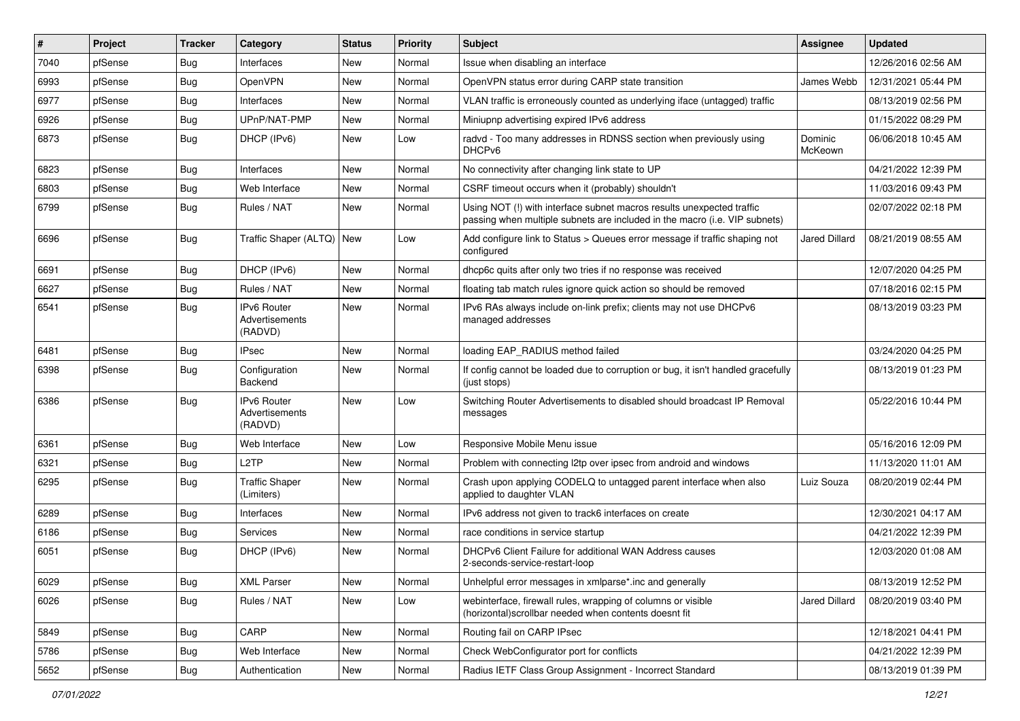| $\vert$ # | Project | <b>Tracker</b> | Category                                        | <b>Status</b> | <b>Priority</b> | <b>Subject</b>                                                                                                                                      | <b>Assignee</b>    | <b>Updated</b>      |
|-----------|---------|----------------|-------------------------------------------------|---------------|-----------------|-----------------------------------------------------------------------------------------------------------------------------------------------------|--------------------|---------------------|
| 7040      | pfSense | Bug            | Interfaces                                      | New           | Normal          | Issue when disabling an interface                                                                                                                   |                    | 12/26/2016 02:56 AM |
| 6993      | pfSense | Bug            | OpenVPN                                         | New           | Normal          | OpenVPN status error during CARP state transition                                                                                                   | James Webb         | 12/31/2021 05:44 PM |
| 6977      | pfSense | Bug            | Interfaces                                      | New           | Normal          | VLAN traffic is erroneously counted as underlying iface (untagged) traffic                                                                          |                    | 08/13/2019 02:56 PM |
| 6926      | pfSense | <b>Bug</b>     | UPnP/NAT-PMP                                    | New           | Normal          | Miniupnp advertising expired IPv6 address                                                                                                           |                    | 01/15/2022 08:29 PM |
| 6873      | pfSense | Bug            | DHCP (IPv6)                                     | New           | Low             | radvd - Too many addresses in RDNSS section when previously using<br>DHCP <sub>v6</sub>                                                             | Dominic<br>McKeown | 06/06/2018 10:45 AM |
| 6823      | pfSense | <b>Bug</b>     | Interfaces                                      | New           | Normal          | No connectivity after changing link state to UP                                                                                                     |                    | 04/21/2022 12:39 PM |
| 6803      | pfSense | <b>Bug</b>     | Web Interface                                   | <b>New</b>    | Normal          | CSRF timeout occurs when it (probably) shouldn't                                                                                                    |                    | 11/03/2016 09:43 PM |
| 6799      | pfSense | Bug            | Rules / NAT                                     | New           | Normal          | Using NOT (!) with interface subnet macros results unexpected traffic<br>passing when multiple subnets are included in the macro (i.e. VIP subnets) |                    | 02/07/2022 02:18 PM |
| 6696      | pfSense | Bug            | Traffic Shaper (ALTQ)   New                     |               | Low             | Add configure link to Status > Queues error message if traffic shaping not<br>configured                                                            | Jared Dillard      | 08/21/2019 08:55 AM |
| 6691      | pfSense | <b>Bug</b>     | DHCP (IPv6)                                     | New           | Normal          | dhcp6c quits after only two tries if no response was received                                                                                       |                    | 12/07/2020 04:25 PM |
| 6627      | pfSense | Bug            | Rules / NAT                                     | New           | Normal          | floating tab match rules ignore quick action so should be removed                                                                                   |                    | 07/18/2016 02:15 PM |
| 6541      | pfSense | <b>Bug</b>     | IPv6 Router<br>Advertisements<br>(RADVD)        | New           | Normal          | IPv6 RAs always include on-link prefix; clients may not use DHCPv6<br>managed addresses                                                             |                    | 08/13/2019 03:23 PM |
| 6481      | pfSense | Bug            | <b>IPsec</b>                                    | New           | Normal          | loading EAP_RADIUS method failed                                                                                                                    |                    | 03/24/2020 04:25 PM |
| 6398      | pfSense | Bug            | Configuration<br>Backend                        | New           | Normal          | If config cannot be loaded due to corruption or bug, it isn't handled gracefully<br>(just stops)                                                    |                    | 08/13/2019 01:23 PM |
| 6386      | pfSense | Bug            | <b>IPv6 Router</b><br>Advertisements<br>(RADVD) | <b>New</b>    | Low             | Switching Router Advertisements to disabled should broadcast IP Removal<br>messages                                                                 |                    | 05/22/2016 10:44 PM |
| 6361      | pfSense | Bug            | Web Interface                                   | New           | Low             | Responsive Mobile Menu issue                                                                                                                        |                    | 05/16/2016 12:09 PM |
| 6321      | pfSense | Bug            | L <sub>2</sub> TP                               | New           | Normal          | Problem with connecting I2tp over ipsec from android and windows                                                                                    |                    | 11/13/2020 11:01 AM |
| 6295      | pfSense | <b>Bug</b>     | <b>Traffic Shaper</b><br>(Limiters)             | New           | Normal          | Crash upon applying CODELQ to untagged parent interface when also<br>applied to daughter VLAN                                                       | Luiz Souza         | 08/20/2019 02:44 PM |
| 6289      | pfSense | Bug            | Interfaces                                      | New           | Normal          | IPv6 address not given to track6 interfaces on create                                                                                               |                    | 12/30/2021 04:17 AM |
| 6186      | pfSense | <b>Bug</b>     | Services                                        | New           | Normal          | race conditions in service startup                                                                                                                  |                    | 04/21/2022 12:39 PM |
| 6051      | pfSense | Bug            | DHCP (IPv6)                                     | New           | Normal          | DHCPv6 Client Failure for additional WAN Address causes<br>2-seconds-service-restart-loop                                                           |                    | 12/03/2020 01:08 AM |
| 6029      | pfSense | <b>Bug</b>     | <b>XML Parser</b>                               | New           | Normal          | Unhelpful error messages in xmlparse*.inc and generally                                                                                             |                    | 08/13/2019 12:52 PM |
| 6026      | pfSense | <b>Bug</b>     | Rules / NAT                                     | New           | Low             | webinterface, firewall rules, wrapping of columns or visible<br>(horizontal) scrollbar needed when contents doesnt fit                              | Jared Dillard      | 08/20/2019 03:40 PM |
| 5849      | pfSense | Bug            | CARP                                            | New           | Normal          | Routing fail on CARP IPsec                                                                                                                          |                    | 12/18/2021 04:41 PM |
| 5786      | pfSense | Bug            | Web Interface                                   | New           | Normal          | Check WebConfigurator port for conflicts                                                                                                            |                    | 04/21/2022 12:39 PM |
| 5652      | pfSense | <b>Bug</b>     | Authentication                                  | New           | Normal          | Radius IETF Class Group Assignment - Incorrect Standard                                                                                             |                    | 08/13/2019 01:39 PM |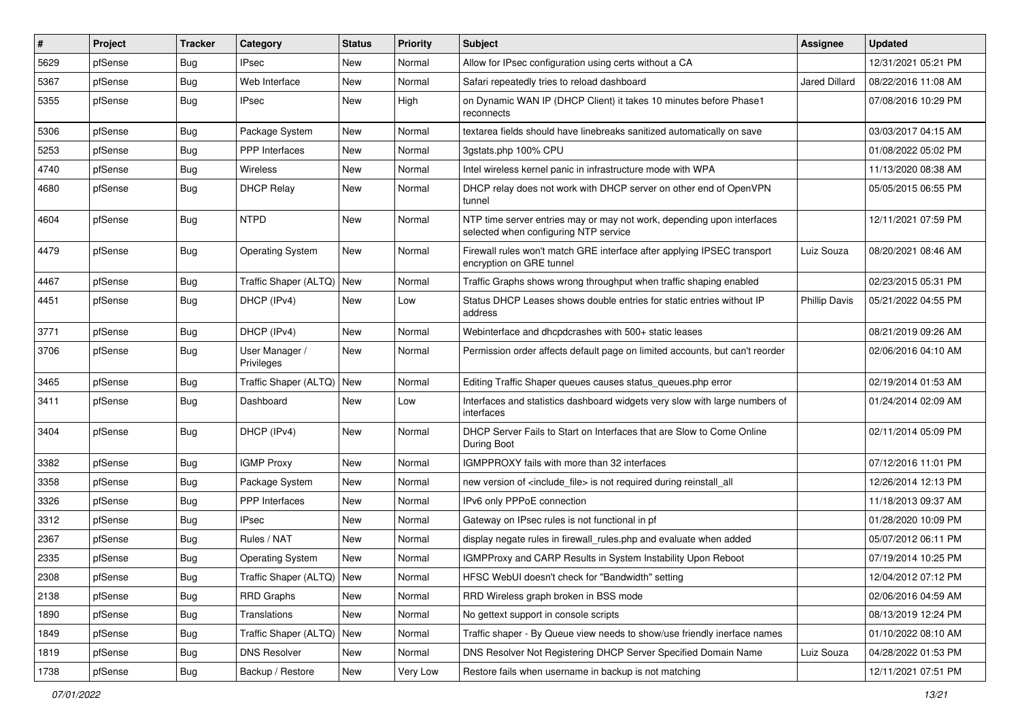| #    | Project | <b>Tracker</b> | Category                     | <b>Status</b> | <b>Priority</b> | <b>Subject</b>                                                                                                  | <b>Assignee</b>      | <b>Updated</b>      |
|------|---------|----------------|------------------------------|---------------|-----------------|-----------------------------------------------------------------------------------------------------------------|----------------------|---------------------|
| 5629 | pfSense | <b>Bug</b>     | IPsec                        | New           | Normal          | Allow for IPsec configuration using certs without a CA                                                          |                      | 12/31/2021 05:21 PM |
| 5367 | pfSense | Bug            | Web Interface                | New           | Normal          | Safari repeatedly tries to reload dashboard                                                                     | <b>Jared Dillard</b> | 08/22/2016 11:08 AM |
| 5355 | pfSense | Bug            | <b>IPsec</b>                 | New           | High            | on Dynamic WAN IP (DHCP Client) it takes 10 minutes before Phase1<br>reconnects                                 |                      | 07/08/2016 10:29 PM |
| 5306 | pfSense | <b>Bug</b>     | Package System               | New           | Normal          | textarea fields should have linebreaks sanitized automatically on save                                          |                      | 03/03/2017 04:15 AM |
| 5253 | pfSense | Bug            | PPP Interfaces               | New           | Normal          | 3gstats.php 100% CPU                                                                                            |                      | 01/08/2022 05:02 PM |
| 4740 | pfSense | Bug            | Wireless                     | New           | Normal          | Intel wireless kernel panic in infrastructure mode with WPA                                                     |                      | 11/13/2020 08:38 AM |
| 4680 | pfSense | <b>Bug</b>     | <b>DHCP Relay</b>            | New           | Normal          | DHCP relay does not work with DHCP server on other end of OpenVPN<br>tunnel                                     |                      | 05/05/2015 06:55 PM |
| 4604 | pfSense | Bug            | <b>NTPD</b>                  | New           | Normal          | NTP time server entries may or may not work, depending upon interfaces<br>selected when configuring NTP service |                      | 12/11/2021 07:59 PM |
| 4479 | pfSense | <b>Bug</b>     | <b>Operating System</b>      | New           | Normal          | Firewall rules won't match GRE interface after applying IPSEC transport<br>encryption on GRE tunnel             | Luiz Souza           | 08/20/2021 08:46 AM |
| 4467 | pfSense | Bug            | Traffic Shaper (ALTQ) New    |               | Normal          | Traffic Graphs shows wrong throughput when traffic shaping enabled                                              |                      | 02/23/2015 05:31 PM |
| 4451 | pfSense | Bug            | DHCP (IPv4)                  | New           | Low             | Status DHCP Leases shows double entries for static entries without IP<br>address                                | <b>Phillip Davis</b> | 05/21/2022 04:55 PM |
| 3771 | pfSense | Bug            | DHCP (IPv4)                  | New           | Normal          | Webinterface and dhcpdcrashes with 500+ static leases                                                           |                      | 08/21/2019 09:26 AM |
| 3706 | pfSense | Bug            | User Manager /<br>Privileges | New           | Normal          | Permission order affects default page on limited accounts, but can't reorder                                    |                      | 02/06/2016 04:10 AM |
| 3465 | pfSense | Bug            | Traffic Shaper (ALTQ)        | <b>New</b>    | Normal          | Editing Traffic Shaper queues causes status_queues.php error                                                    |                      | 02/19/2014 01:53 AM |
| 3411 | pfSense | Bug            | Dashboard                    | New           | Low             | Interfaces and statistics dashboard widgets very slow with large numbers of<br>interfaces                       |                      | 01/24/2014 02:09 AM |
| 3404 | pfSense | <b>Bug</b>     | DHCP (IPv4)                  | New           | Normal          | DHCP Server Fails to Start on Interfaces that are Slow to Come Online<br>During Boot                            |                      | 02/11/2014 05:09 PM |
| 3382 | pfSense | Bug            | <b>IGMP Proxy</b>            | New           | Normal          | IGMPPROXY fails with more than 32 interfaces                                                                    |                      | 07/12/2016 11:01 PM |
| 3358 | pfSense | <b>Bug</b>     | Package System               | New           | Normal          | new version of <include_file> is not required during reinstall_all</include_file>                               |                      | 12/26/2014 12:13 PM |
| 3326 | pfSense | <b>Bug</b>     | <b>PPP</b> Interfaces        | New           | Normal          | IPv6 only PPPoE connection                                                                                      |                      | 11/18/2013 09:37 AM |
| 3312 | pfSense | <b>Bug</b>     | <b>IPsec</b>                 | New           | Normal          | Gateway on IPsec rules is not functional in pf                                                                  |                      | 01/28/2020 10:09 PM |
| 2367 | pfSense | <b>Bug</b>     | Rules / NAT                  | New           | Normal          | display negate rules in firewall_rules.php and evaluate when added                                              |                      | 05/07/2012 06:11 PM |
| 2335 | pfSense | Bug            | <b>Operating System</b>      | New           | Normal          | IGMPProxy and CARP Results in System Instability Upon Reboot                                                    |                      | 07/19/2014 10:25 PM |
| 2308 | pfSense | <b>Bug</b>     | Traffic Shaper (ALTQ) New    |               | Normal          | HFSC WebUI doesn't check for "Bandwidth" setting                                                                |                      | 12/04/2012 07:12 PM |
| 2138 | pfSense | <b>Bug</b>     | <b>RRD Graphs</b>            | New           | Normal          | RRD Wireless graph broken in BSS mode                                                                           |                      | 02/06/2016 04:59 AM |
| 1890 | pfSense | Bug            | Translations                 | New           | Normal          | No gettext support in console scripts                                                                           |                      | 08/13/2019 12:24 PM |
| 1849 | pfSense | Bug            | Traffic Shaper (ALTQ) New    |               | Normal          | Traffic shaper - By Queue view needs to show/use friendly inerface names                                        |                      | 01/10/2022 08:10 AM |
| 1819 | pfSense | <b>Bug</b>     | <b>DNS Resolver</b>          | New           | Normal          | DNS Resolver Not Registering DHCP Server Specified Domain Name                                                  | Luiz Souza           | 04/28/2022 01:53 PM |
| 1738 | pfSense | Bug            | Backup / Restore             | New           | Very Low        | Restore fails when username in backup is not matching                                                           |                      | 12/11/2021 07:51 PM |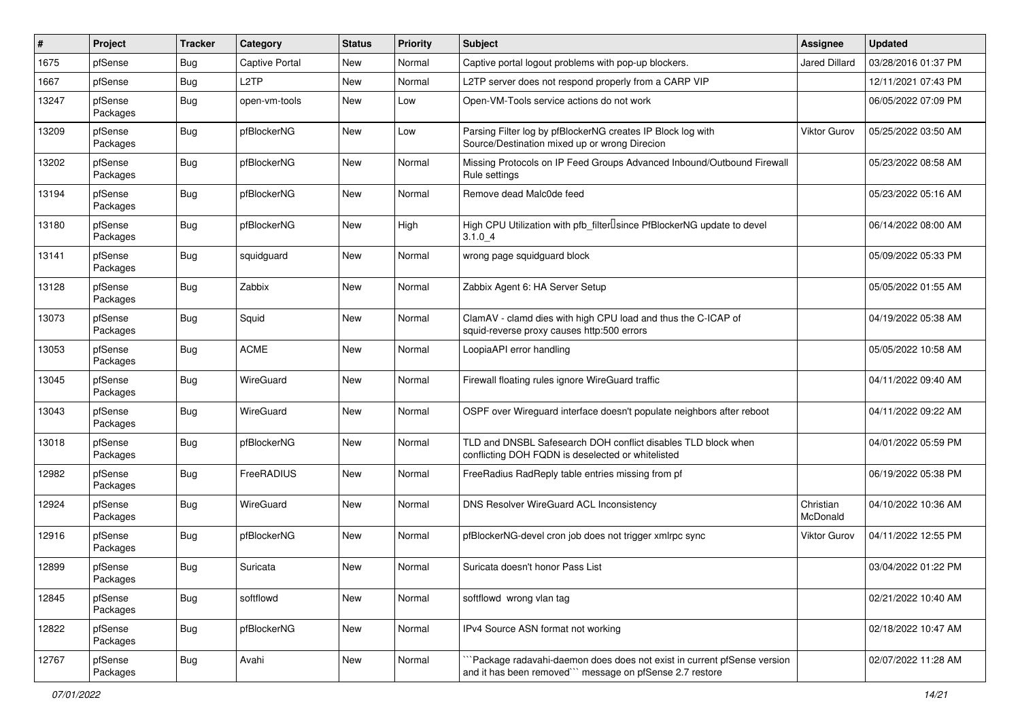| $\vert$ # | Project             | <b>Tracker</b> | Category              | <b>Status</b> | <b>Priority</b> | Subject                                                                                                                             | <b>Assignee</b>       | <b>Updated</b>      |
|-----------|---------------------|----------------|-----------------------|---------------|-----------------|-------------------------------------------------------------------------------------------------------------------------------------|-----------------------|---------------------|
| 1675      | pfSense             | Bug            | <b>Captive Portal</b> | New           | Normal          | Captive portal logout problems with pop-up blockers.                                                                                | <b>Jared Dillard</b>  | 03/28/2016 01:37 PM |
| 1667      | pfSense             | <b>Bug</b>     | L <sub>2</sub> TP     | New           | Normal          | L2TP server does not respond properly from a CARP VIP                                                                               |                       | 12/11/2021 07:43 PM |
| 13247     | pfSense<br>Packages | Bug            | open-vm-tools         | New           | Low             | Open-VM-Tools service actions do not work                                                                                           |                       | 06/05/2022 07:09 PM |
| 13209     | pfSense<br>Packages | Bug            | pfBlockerNG           | New           | Low             | Parsing Filter log by pfBlockerNG creates IP Block log with<br>Source/Destination mixed up or wrong Direcion                        | <b>Viktor Gurov</b>   | 05/25/2022 03:50 AM |
| 13202     | pfSense<br>Packages | Bug            | pfBlockerNG           | New           | Normal          | Missing Protocols on IP Feed Groups Advanced Inbound/Outbound Firewall<br>Rule settings                                             |                       | 05/23/2022 08:58 AM |
| 13194     | pfSense<br>Packages | Bug            | pfBlockerNG           | New           | Normal          | Remove dead Malc0de feed                                                                                                            |                       | 05/23/2022 05:16 AM |
| 13180     | pfSense<br>Packages | Bug            | pfBlockerNG           | New           | High            | High CPU Utilization with pfb_filter <sup>[]</sup> since PfBlockerNG update to devel<br>3.1.04                                      |                       | 06/14/2022 08:00 AM |
| 13141     | pfSense<br>Packages | Bug            | squidguard            | New           | Normal          | wrong page squidguard block                                                                                                         |                       | 05/09/2022 05:33 PM |
| 13128     | pfSense<br>Packages | <b>Bug</b>     | Zabbix                | New           | Normal          | Zabbix Agent 6: HA Server Setup                                                                                                     |                       | 05/05/2022 01:55 AM |
| 13073     | pfSense<br>Packages | Bug            | Squid                 | New           | Normal          | ClamAV - clamd dies with high CPU load and thus the C-ICAP of<br>squid-reverse proxy causes http:500 errors                         |                       | 04/19/2022 05:38 AM |
| 13053     | pfSense<br>Packages | <b>Bug</b>     | <b>ACME</b>           | <b>New</b>    | Normal          | LoopiaAPI error handling                                                                                                            |                       | 05/05/2022 10:58 AM |
| 13045     | pfSense<br>Packages | Bug            | WireGuard             | New           | Normal          | Firewall floating rules ignore WireGuard traffic                                                                                    |                       | 04/11/2022 09:40 AM |
| 13043     | pfSense<br>Packages | Bug            | WireGuard             | <b>New</b>    | Normal          | OSPF over Wireguard interface doesn't populate neighbors after reboot                                                               |                       | 04/11/2022 09:22 AM |
| 13018     | pfSense<br>Packages | <b>Bug</b>     | pfBlockerNG           | New           | Normal          | TLD and DNSBL Safesearch DOH conflict disables TLD block when<br>conflicting DOH FQDN is deselected or whitelisted                  |                       | 04/01/2022 05:59 PM |
| 12982     | pfSense<br>Packages | <b>Bug</b>     | FreeRADIUS            | New           | Normal          | FreeRadius RadReply table entries missing from pf                                                                                   |                       | 06/19/2022 05:38 PM |
| 12924     | pfSense<br>Packages | Bug            | WireGuard             | New           | Normal          | DNS Resolver WireGuard ACL Inconsistency                                                                                            | Christian<br>McDonald | 04/10/2022 10:36 AM |
| 12916     | pfSense<br>Packages | Bug            | pfBlockerNG           | New           | Normal          | pfBlockerNG-devel cron job does not trigger xmlrpc sync                                                                             | Viktor Gurov          | 04/11/2022 12:55 PM |
| 12899     | pfSense<br>Packages | Bug            | Suricata              | New           | Normal          | Suricata doesn't honor Pass List                                                                                                    |                       | 03/04/2022 01:22 PM |
| 12845     | pfSense<br>Packages | <b>Bug</b>     | softflowd             | New           | Normal          | softflowd wrong vlan tag                                                                                                            |                       | 02/21/2022 10:40 AM |
| 12822     | pfSense<br>Packages | <b>Bug</b>     | pfBlockerNG           | New           | Normal          | IPv4 Source ASN format not working                                                                                                  |                       | 02/18/2022 10:47 AM |
| 12767     | pfSense<br>Packages | Bug            | Avahi                 | New           | Normal          | `Package radavahi-daemon does does not exist in current pfSense version<br>and it has been removed"" message on pfSense 2.7 restore |                       | 02/07/2022 11:28 AM |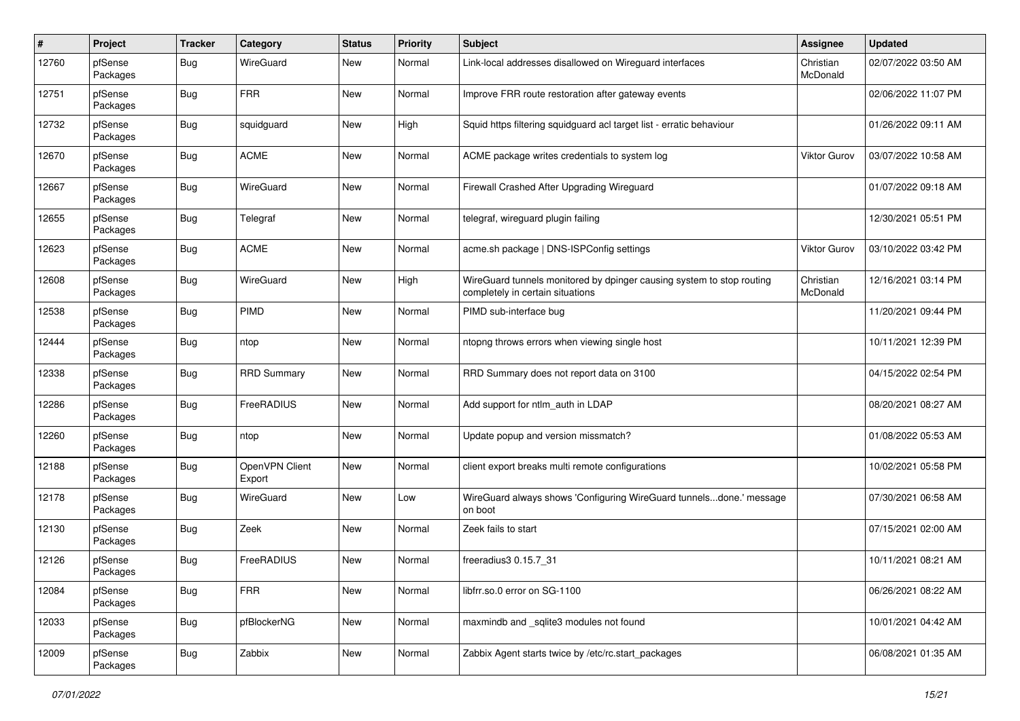| $\pmb{\#}$ | Project             | <b>Tracker</b> | Category                 | <b>Status</b> | <b>Priority</b> | <b>Subject</b>                                                                                            | Assignee              | <b>Updated</b>      |
|------------|---------------------|----------------|--------------------------|---------------|-----------------|-----------------------------------------------------------------------------------------------------------|-----------------------|---------------------|
| 12760      | pfSense<br>Packages | Bug            | WireGuard                | New           | Normal          | Link-local addresses disallowed on Wireguard interfaces                                                   | Christian<br>McDonald | 02/07/2022 03:50 AM |
| 12751      | pfSense<br>Packages | Bug            | <b>FRR</b>               | <b>New</b>    | Normal          | Improve FRR route restoration after gateway events                                                        |                       | 02/06/2022 11:07 PM |
| 12732      | pfSense<br>Packages | Bug            | squidguard               | <b>New</b>    | High            | Squid https filtering squidguard acl target list - erratic behaviour                                      |                       | 01/26/2022 09:11 AM |
| 12670      | pfSense<br>Packages | Bug            | <b>ACME</b>              | <b>New</b>    | Normal          | ACME package writes credentials to system log                                                             | <b>Viktor Gurov</b>   | 03/07/2022 10:58 AM |
| 12667      | pfSense<br>Packages | Bug            | WireGuard                | New           | Normal          | Firewall Crashed After Upgrading Wireguard                                                                |                       | 01/07/2022 09:18 AM |
| 12655      | pfSense<br>Packages | <b>Bug</b>     | Telegraf                 | New           | Normal          | telegraf, wireguard plugin failing                                                                        |                       | 12/30/2021 05:51 PM |
| 12623      | pfSense<br>Packages | Bug            | <b>ACME</b>              | <b>New</b>    | Normal          | acme.sh package   DNS-ISPConfig settings                                                                  | <b>Viktor Gurov</b>   | 03/10/2022 03:42 PM |
| 12608      | pfSense<br>Packages | Bug            | WireGuard                | New           | High            | WireGuard tunnels monitored by dpinger causing system to stop routing<br>completely in certain situations | Christian<br>McDonald | 12/16/2021 03:14 PM |
| 12538      | pfSense<br>Packages | Bug            | PIMD                     | <b>New</b>    | Normal          | PIMD sub-interface bug                                                                                    |                       | 11/20/2021 09:44 PM |
| 12444      | pfSense<br>Packages | Bug            | ntop                     | <b>New</b>    | Normal          | ntopng throws errors when viewing single host                                                             |                       | 10/11/2021 12:39 PM |
| 12338      | pfSense<br>Packages | Bug            | <b>RRD Summary</b>       | <b>New</b>    | Normal          | RRD Summary does not report data on 3100                                                                  |                       | 04/15/2022 02:54 PM |
| 12286      | pfSense<br>Packages | Bug            | FreeRADIUS               | New           | Normal          | Add support for ntlm_auth in LDAP                                                                         |                       | 08/20/2021 08:27 AM |
| 12260      | pfSense<br>Packages | Bug            | ntop                     | New           | Normal          | Update popup and version missmatch?                                                                       |                       | 01/08/2022 05:53 AM |
| 12188      | pfSense<br>Packages | Bug            | OpenVPN Client<br>Export | New           | Normal          | client export breaks multi remote configurations                                                          |                       | 10/02/2021 05:58 PM |
| 12178      | pfSense<br>Packages | Bug            | WireGuard                | New           | LOW             | WireGuard always shows 'Configuring WireGuard tunnelsdone.' message<br>on boot                            |                       | 07/30/2021 06:58 AM |
| 12130      | pfSense<br>Packages | Bug            | Zeek                     | <b>New</b>    | Normal          | Zeek fails to start                                                                                       |                       | 07/15/2021 02:00 AM |
| 12126      | pfSense<br>Packages | <b>Bug</b>     | FreeRADIUS               | New           | Normal          | freeradius3 0.15.7_31                                                                                     |                       | 10/11/2021 08:21 AM |
| 12084      | pfSense<br>Packages | Bug            | <b>FRR</b>               | New           | Normal          | libfrr.so.0 error on SG-1100                                                                              |                       | 06/26/2021 08:22 AM |
| 12033      | pfSense<br>Packages | <b>Bug</b>     | pfBlockerNG              | New           | Normal          | maxmindb and _sqlite3 modules not found                                                                   |                       | 10/01/2021 04:42 AM |
| 12009      | pfSense<br>Packages | <b>Bug</b>     | Zabbix                   | New           | Normal          | Zabbix Agent starts twice by /etc/rc.start packages                                                       |                       | 06/08/2021 01:35 AM |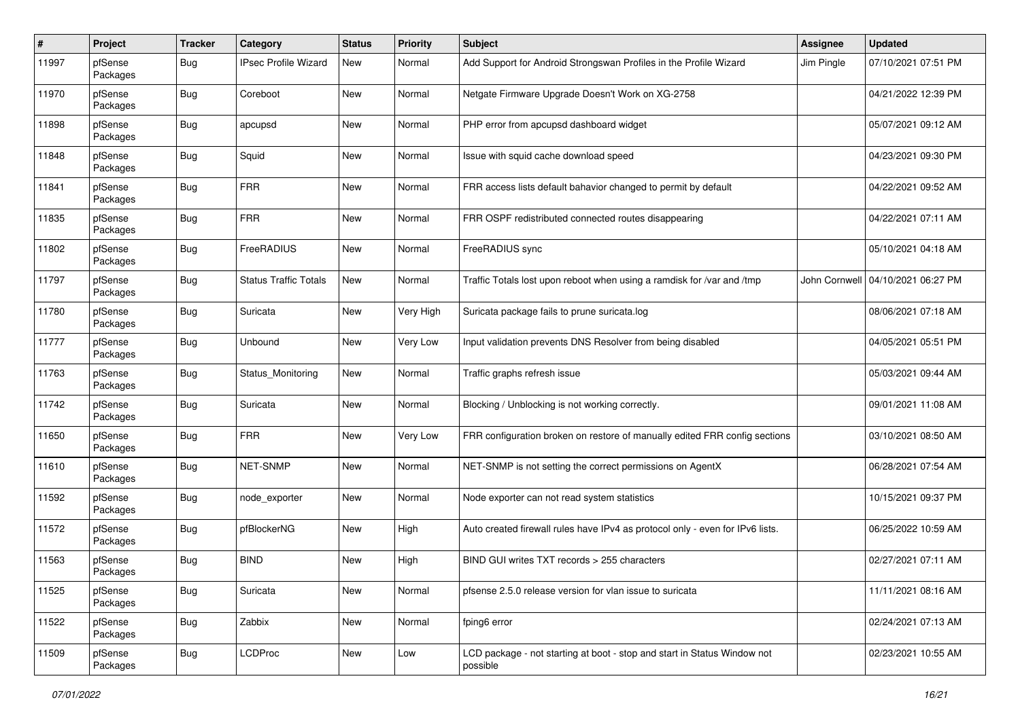| #     | Project             | <b>Tracker</b> | Category                     | <b>Status</b> | <b>Priority</b> | <b>Subject</b>                                                                       | Assignee      | <b>Updated</b>      |
|-------|---------------------|----------------|------------------------------|---------------|-----------------|--------------------------------------------------------------------------------------|---------------|---------------------|
| 11997 | pfSense<br>Packages | Bug            | <b>IPsec Profile Wizard</b>  | <b>New</b>    | Normal          | Add Support for Android Strongswan Profiles in the Profile Wizard                    | Jim Pingle    | 07/10/2021 07:51 PM |
| 11970 | pfSense<br>Packages | Bug            | Coreboot                     | <b>New</b>    | Normal          | Netgate Firmware Upgrade Doesn't Work on XG-2758                                     |               | 04/21/2022 12:39 PM |
| 11898 | pfSense<br>Packages | <b>Bug</b>     | apcupsd                      | New           | Normal          | PHP error from apcupsd dashboard widget                                              |               | 05/07/2021 09:12 AM |
| 11848 | pfSense<br>Packages | Bug            | Squid                        | New           | Normal          | Issue with squid cache download speed                                                |               | 04/23/2021 09:30 PM |
| 11841 | pfSense<br>Packages | Bug            | <b>FRR</b>                   | <b>New</b>    | Normal          | FRR access lists default bahavior changed to permit by default                       |               | 04/22/2021 09:52 AM |
| 11835 | pfSense<br>Packages | <b>Bug</b>     | <b>FRR</b>                   | New           | Normal          | FRR OSPF redistributed connected routes disappearing                                 |               | 04/22/2021 07:11 AM |
| 11802 | pfSense<br>Packages | Bug            | FreeRADIUS                   | New           | Normal          | FreeRADIUS sync                                                                      |               | 05/10/2021 04:18 AM |
| 11797 | pfSense<br>Packages | Bug            | <b>Status Traffic Totals</b> | New           | Normal          | Traffic Totals lost upon reboot when using a ramdisk for /var and /tmp               | John Cornwell | 04/10/2021 06:27 PM |
| 11780 | pfSense<br>Packages | Bug            | Suricata                     | <b>New</b>    | Very High       | Suricata package fails to prune suricata.log                                         |               | 08/06/2021 07:18 AM |
| 11777 | pfSense<br>Packages | Bug            | Unbound                      | New           | Very Low        | Input validation prevents DNS Resolver from being disabled                           |               | 04/05/2021 05:51 PM |
| 11763 | pfSense<br>Packages | Bug            | Status Monitoring            | New           | Normal          | Traffic graphs refresh issue                                                         |               | 05/03/2021 09:44 AM |
| 11742 | pfSense<br>Packages | Bug            | Suricata                     | New           | Normal          | Blocking / Unblocking is not working correctly.                                      |               | 09/01/2021 11:08 AM |
| 11650 | pfSense<br>Packages | <b>Bug</b>     | <b>FRR</b>                   | New           | Very Low        | FRR configuration broken on restore of manually edited FRR config sections           |               | 03/10/2021 08:50 AM |
| 11610 | pfSense<br>Packages | <b>Bug</b>     | NET-SNMP                     | New           | Normal          | NET-SNMP is not setting the correct permissions on AgentX                            |               | 06/28/2021 07:54 AM |
| 11592 | pfSense<br>Packages | <b>Bug</b>     | node exporter                | New           | Normal          | Node exporter can not read system statistics                                         |               | 10/15/2021 09:37 PM |
| 11572 | pfSense<br>Packages | Bug            | pfBlockerNG                  | <b>New</b>    | High            | Auto created firewall rules have IPv4 as protocol only - even for IPv6 lists.        |               | 06/25/2022 10:59 AM |
| 11563 | pfSense<br>Packages | <b>Bug</b>     | <b>BIND</b>                  | <b>New</b>    | High            | BIND GUI writes TXT records > 255 characters                                         |               | 02/27/2021 07:11 AM |
| 11525 | pfSense<br>Packages | Bug            | Suricata                     | New           | Normal          | pfsense 2.5.0 release version for vlan issue to suricata                             |               | 11/11/2021 08:16 AM |
| 11522 | pfSense<br>Packages | <b>Bug</b>     | Zabbix                       | New           | Normal          | fping6 error                                                                         |               | 02/24/2021 07:13 AM |
| 11509 | pfSense<br>Packages | Bug            | <b>LCDProc</b>               | New           | Low             | LCD package - not starting at boot - stop and start in Status Window not<br>possible |               | 02/23/2021 10:55 AM |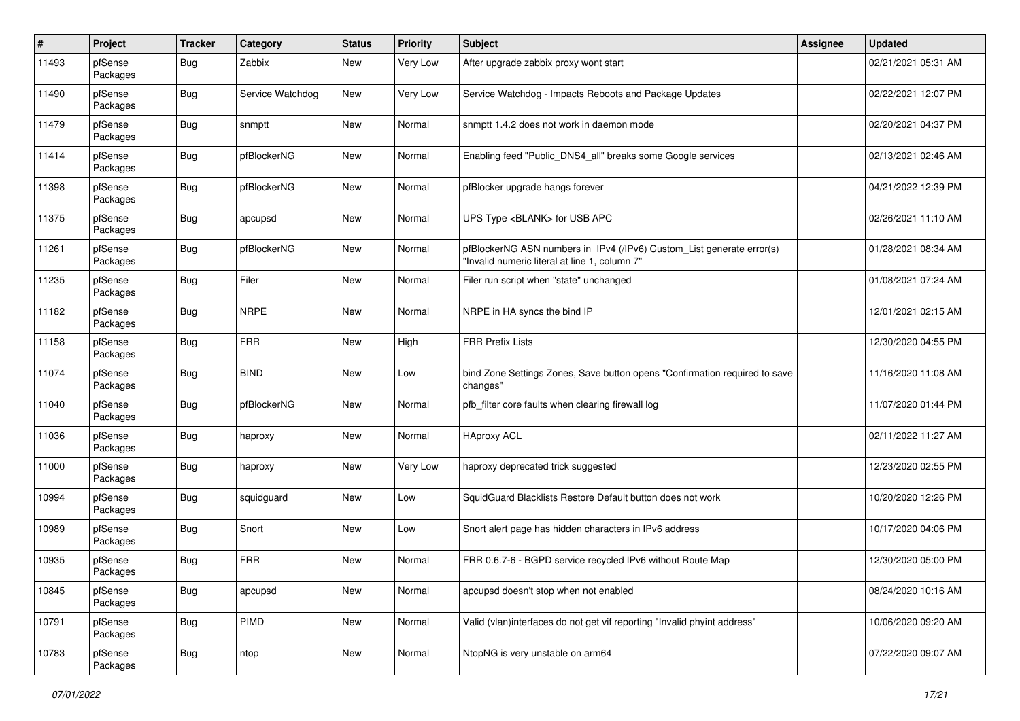| $\#$  | Project             | <b>Tracker</b> | Category         | <b>Status</b> | <b>Priority</b> | Subject                                                                                                                | Assignee | <b>Updated</b>      |
|-------|---------------------|----------------|------------------|---------------|-----------------|------------------------------------------------------------------------------------------------------------------------|----------|---------------------|
| 11493 | pfSense<br>Packages | Bug            | Zabbix           | New           | Very Low        | After upgrade zabbix proxy wont start                                                                                  |          | 02/21/2021 05:31 AM |
| 11490 | pfSense<br>Packages | Bug            | Service Watchdog | New           | Very Low        | Service Watchdog - Impacts Reboots and Package Updates                                                                 |          | 02/22/2021 12:07 PM |
| 11479 | pfSense<br>Packages | <b>Bug</b>     | snmptt           | <b>New</b>    | Normal          | snmptt 1.4.2 does not work in daemon mode                                                                              |          | 02/20/2021 04:37 PM |
| 11414 | pfSense<br>Packages | Bug            | pfBlockerNG      | New           | Normal          | Enabling feed "Public_DNS4_all" breaks some Google services                                                            |          | 02/13/2021 02:46 AM |
| 11398 | pfSense<br>Packages | <b>Bug</b>     | pfBlockerNG      | New           | Normal          | pfBlocker upgrade hangs forever                                                                                        |          | 04/21/2022 12:39 PM |
| 11375 | pfSense<br>Packages | <b>Bug</b>     | apcupsd          | New           | Normal          | UPS Type <blank> for USB APC</blank>                                                                                   |          | 02/26/2021 11:10 AM |
| 11261 | pfSense<br>Packages | <b>Bug</b>     | pfBlockerNG      | New           | Normal          | pfBlockerNG ASN numbers in IPv4 (/IPv6) Custom_List generate error(s)<br>"Invalid numeric literal at line 1, column 7" |          | 01/28/2021 08:34 AM |
| 11235 | pfSense<br>Packages | <b>Bug</b>     | Filer            | New           | Normal          | Filer run script when "state" unchanged                                                                                |          | 01/08/2021 07:24 AM |
| 11182 | pfSense<br>Packages | <b>Bug</b>     | <b>NRPE</b>      | New           | Normal          | NRPE in HA syncs the bind IP                                                                                           |          | 12/01/2021 02:15 AM |
| 11158 | pfSense<br>Packages | <b>Bug</b>     | <b>FRR</b>       | <b>New</b>    | High            | <b>FRR Prefix Lists</b>                                                                                                |          | 12/30/2020 04:55 PM |
| 11074 | pfSense<br>Packages | Bug            | <b>BIND</b>      | <b>New</b>    | Low             | bind Zone Settings Zones, Save button opens "Confirmation required to save<br>changes"                                 |          | 11/16/2020 11:08 AM |
| 11040 | pfSense<br>Packages | Bug            | pfBlockerNG      | New           | Normal          | pfb_filter core faults when clearing firewall log                                                                      |          | 11/07/2020 01:44 PM |
| 11036 | pfSense<br>Packages | <b>Bug</b>     | haproxy          | New           | Normal          | <b>HAproxy ACL</b>                                                                                                     |          | 02/11/2022 11:27 AM |
| 11000 | pfSense<br>Packages | <b>Bug</b>     | haproxy          | New           | Very Low        | haproxy deprecated trick suggested                                                                                     |          | 12/23/2020 02:55 PM |
| 10994 | pfSense<br>Packages | <b>Bug</b>     | squidguard       | New           | LOW             | SquidGuard Blacklists Restore Default button does not work                                                             |          | 10/20/2020 12:26 PM |
| 10989 | pfSense<br>Packages | <b>Bug</b>     | Snort            | New           | LOW             | Snort alert page has hidden characters in IPv6 address                                                                 |          | 10/17/2020 04:06 PM |
| 10935 | pfSense<br>Packages | <b>Bug</b>     | <b>FRR</b>       | <b>New</b>    | Normal          | FRR 0.6.7-6 - BGPD service recycled IPv6 without Route Map                                                             |          | 12/30/2020 05:00 PM |
| 10845 | pfSense<br>Packages | <b>Bug</b>     | apcupsd          | New           | Normal          | apcupsd doesn't stop when not enabled                                                                                  |          | 08/24/2020 10:16 AM |
| 10791 | pfSense<br>Packages | <b>Bug</b>     | PIMD             | New           | Normal          | Valid (vlan)interfaces do not get vif reporting "Invalid phyint address"                                               |          | 10/06/2020 09:20 AM |
| 10783 | pfSense<br>Packages | <b>Bug</b>     | ntop             | New           | Normal          | NtopNG is very unstable on arm64                                                                                       |          | 07/22/2020 09:07 AM |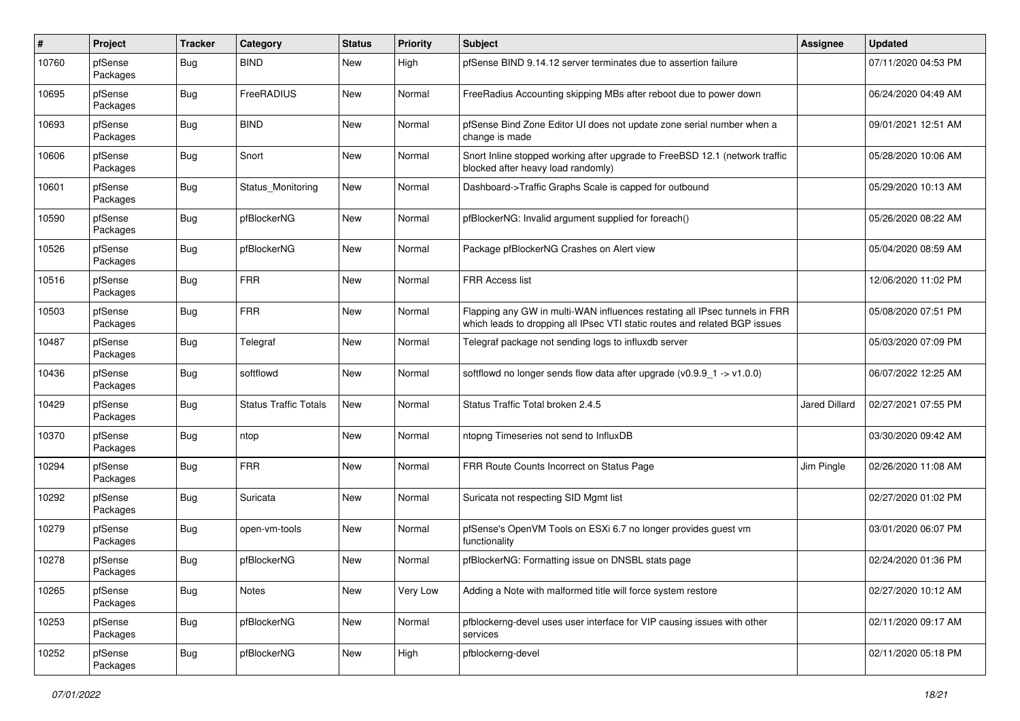| $\pmb{\#}$ | Project             | <b>Tracker</b> | Category                     | <b>Status</b> | <b>Priority</b> | Subject                                                                                                                                                  | Assignee             | <b>Updated</b>      |
|------------|---------------------|----------------|------------------------------|---------------|-----------------|----------------------------------------------------------------------------------------------------------------------------------------------------------|----------------------|---------------------|
| 10760      | pfSense<br>Packages | Bug            | <b>BIND</b>                  | <b>New</b>    | High            | pfSense BIND 9.14.12 server terminates due to assertion failure                                                                                          |                      | 07/11/2020 04:53 PM |
| 10695      | pfSense<br>Packages | Bug            | FreeRADIUS                   | <b>New</b>    | Normal          | FreeRadius Accounting skipping MBs after reboot due to power down                                                                                        |                      | 06/24/2020 04:49 AM |
| 10693      | pfSense<br>Packages | <b>Bug</b>     | <b>BIND</b>                  | <b>New</b>    | Normal          | pfSense Bind Zone Editor UI does not update zone serial number when a<br>change is made                                                                  |                      | 09/01/2021 12:51 AM |
| 10606      | pfSense<br>Packages | <b>Bug</b>     | Snort                        | <b>New</b>    | Normal          | Snort Inline stopped working after upgrade to FreeBSD 12.1 (network traffic<br>blocked after heavy load randomly)                                        |                      | 05/28/2020 10:06 AM |
| 10601      | pfSense<br>Packages | <b>Bug</b>     | Status Monitoring            | New           | Normal          | Dashboard->Traffic Graphs Scale is capped for outbound                                                                                                   |                      | 05/29/2020 10:13 AM |
| 10590      | pfSense<br>Packages | <b>Bug</b>     | pfBlockerNG                  | New           | Normal          | pfBlockerNG: Invalid argument supplied for foreach()                                                                                                     |                      | 05/26/2020 08:22 AM |
| 10526      | pfSense<br>Packages | Bug            | pfBlockerNG                  | New           | Normal          | Package pfBlockerNG Crashes on Alert view                                                                                                                |                      | 05/04/2020 08:59 AM |
| 10516      | pfSense<br>Packages | <b>Bug</b>     | <b>FRR</b>                   | New           | Normal          | <b>FRR Access list</b>                                                                                                                                   |                      | 12/06/2020 11:02 PM |
| 10503      | pfSense<br>Packages | <b>Bug</b>     | <b>FRR</b>                   | <b>New</b>    | Normal          | Flapping any GW in multi-WAN influences restating all IPsec tunnels in FRR<br>which leads to dropping all IPsec VTI static routes and related BGP issues |                      | 05/08/2020 07:51 PM |
| 10487      | pfSense<br>Packages | Bug            | Telegraf                     | <b>New</b>    | Normal          | Telegraf package not sending logs to influxdb server                                                                                                     |                      | 05/03/2020 07:09 PM |
| 10436      | pfSense<br>Packages | <b>Bug</b>     | softflowd                    | <b>New</b>    | Normal          | softflowd no longer sends flow data after upgrade ( $v0.9.9 - 1$ -> $v1.0.0$ )                                                                           |                      | 06/07/2022 12:25 AM |
| 10429      | pfSense<br>Packages | <b>Bug</b>     | <b>Status Traffic Totals</b> | <b>New</b>    | Normal          | Status Traffic Total broken 2.4.5                                                                                                                        | <b>Jared Dillard</b> | 02/27/2021 07:55 PM |
| 10370      | pfSense<br>Packages | <b>Bug</b>     | ntop                         | New           | Normal          | ntopng Timeseries not send to InfluxDB                                                                                                                   |                      | 03/30/2020 09:42 AM |
| 10294      | pfSense<br>Packages | <b>Bug</b>     | <b>FRR</b>                   | <b>New</b>    | Normal          | FRR Route Counts Incorrect on Status Page                                                                                                                | Jim Pingle           | 02/26/2020 11:08 AM |
| 10292      | pfSense<br>Packages | Bug            | Suricata                     | New           | Normal          | Suricata not respecting SID Mgmt list                                                                                                                    |                      | 02/27/2020 01:02 PM |
| 10279      | pfSense<br>Packages | <b>Bug</b>     | open-vm-tools                | <b>New</b>    | Normal          | pfSense's OpenVM Tools on ESXi 6.7 no longer provides guest vm<br>functionality                                                                          |                      | 03/01/2020 06:07 PM |
| 10278      | pfSense<br>Packages | <b>Bug</b>     | pfBlockerNG                  | <b>New</b>    | Normal          | pfBlockerNG: Formatting issue on DNSBL stats page                                                                                                        |                      | 02/24/2020 01:36 PM |
| 10265      | pfSense<br>Packages | <b>Bug</b>     | <b>Notes</b>                 | New           | Very Low        | Adding a Note with malformed title will force system restore                                                                                             |                      | 02/27/2020 10:12 AM |
| 10253      | pfSense<br>Packages | <b>Bug</b>     | pfBlockerNG                  | New           | Normal          | pfblockerng-devel uses user interface for VIP causing issues with other<br>services                                                                      |                      | 02/11/2020 09:17 AM |
| 10252      | pfSense<br>Packages | Bug            | pfBlockerNG                  | New           | High            | pfblockerng-devel                                                                                                                                        |                      | 02/11/2020 05:18 PM |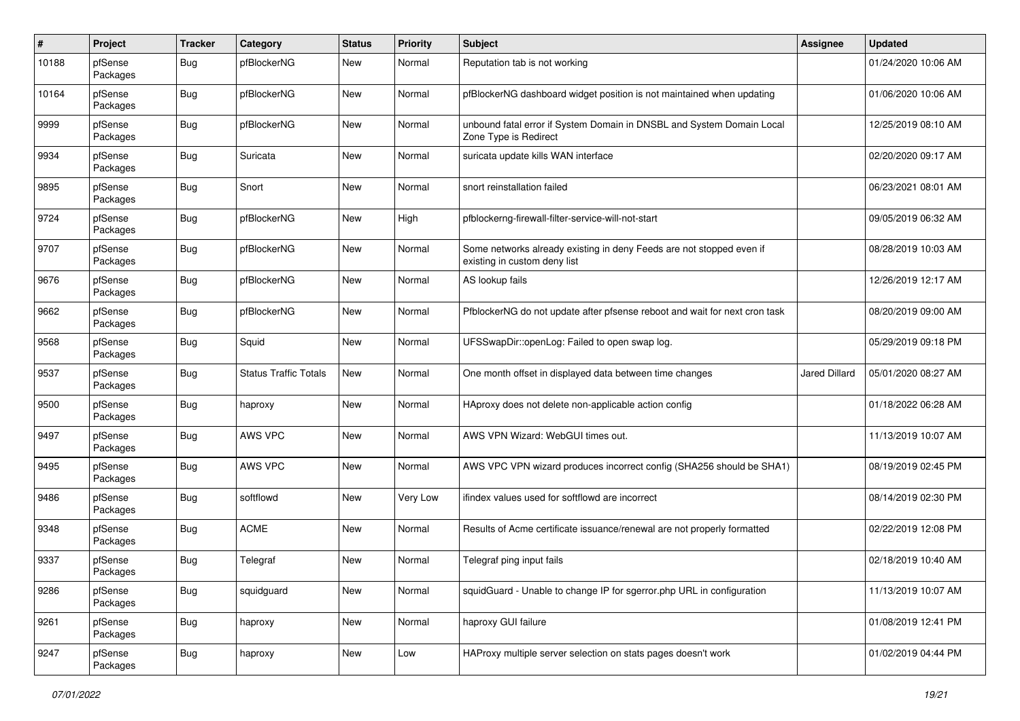| $\pmb{\#}$ | Project             | <b>Tracker</b> | Category                     | <b>Status</b> | <b>Priority</b> | <b>Subject</b>                                                                                       | Assignee             | <b>Updated</b>      |
|------------|---------------------|----------------|------------------------------|---------------|-----------------|------------------------------------------------------------------------------------------------------|----------------------|---------------------|
| 10188      | pfSense<br>Packages | Bug            | pfBlockerNG                  | New           | Normal          | Reputation tab is not working                                                                        |                      | 01/24/2020 10:06 AM |
| 10164      | pfSense<br>Packages | Bug            | pfBlockerNG                  | <b>New</b>    | Normal          | pfBlockerNG dashboard widget position is not maintained when updating                                |                      | 01/06/2020 10:06 AM |
| 9999       | pfSense<br>Packages | Bug            | pfBlockerNG                  | <b>New</b>    | Normal          | unbound fatal error if System Domain in DNSBL and System Domain Local<br>Zone Type is Redirect       |                      | 12/25/2019 08:10 AM |
| 9934       | pfSense<br>Packages | Bug            | Suricata                     | <b>New</b>    | Normal          | suricata update kills WAN interface                                                                  |                      | 02/20/2020 09:17 AM |
| 9895       | pfSense<br>Packages | Bug            | Snort                        | <b>New</b>    | Normal          | snort reinstallation failed                                                                          |                      | 06/23/2021 08:01 AM |
| 9724       | pfSense<br>Packages | <b>Bug</b>     | pfBlockerNG                  | New           | High            | pfblockerng-firewall-filter-service-will-not-start                                                   |                      | 09/05/2019 06:32 AM |
| 9707       | pfSense<br>Packages | Bug            | pfBlockerNG                  | New           | Normal          | Some networks already existing in deny Feeds are not stopped even if<br>existing in custom deny list |                      | 08/28/2019 10:03 AM |
| 9676       | pfSense<br>Packages | Bug            | pfBlockerNG                  | New           | Normal          | AS lookup fails                                                                                      |                      | 12/26/2019 12:17 AM |
| 9662       | pfSense<br>Packages | Bug            | pfBlockerNG                  | <b>New</b>    | Normal          | PfblockerNG do not update after pfsense reboot and wait for next cron task                           |                      | 08/20/2019 09:00 AM |
| 9568       | pfSense<br>Packages | Bug            | Squid                        | <b>New</b>    | Normal          | UFSSwapDir::openLog: Failed to open swap log.                                                        |                      | 05/29/2019 09:18 PM |
| 9537       | pfSense<br>Packages | Bug            | <b>Status Traffic Totals</b> | New           | Normal          | One month offset in displayed data between time changes                                              | <b>Jared Dillard</b> | 05/01/2020 08:27 AM |
| 9500       | pfSense<br>Packages | Bug            | haproxy                      | <b>New</b>    | Normal          | HAproxy does not delete non-applicable action config                                                 |                      | 01/18/2022 06:28 AM |
| 9497       | pfSense<br>Packages | <b>Bug</b>     | AWS VPC                      | New           | Normal          | AWS VPN Wizard: WebGUI times out.                                                                    |                      | 11/13/2019 10:07 AM |
| 9495       | pfSense<br>Packages | Bug            | AWS VPC                      | New           | Normal          | AWS VPC VPN wizard produces incorrect config (SHA256 should be SHA1)                                 |                      | 08/19/2019 02:45 PM |
| 9486       | pfSense<br>Packages | Bug            | softflowd                    | <b>New</b>    | Very Low        | ifindex values used for softflowd are incorrect                                                      |                      | 08/14/2019 02:30 PM |
| 9348       | pfSense<br>Packages | <b>Bug</b>     | <b>ACME</b>                  | <b>New</b>    | Normal          | Results of Acme certificate issuance/renewal are not properly formatted                              |                      | 02/22/2019 12:08 PM |
| 9337       | pfSense<br>Packages | <b>Bug</b>     | Telegraf                     | <b>New</b>    | Normal          | Telegraf ping input fails                                                                            |                      | 02/18/2019 10:40 AM |
| 9286       | pfSense<br>Packages | Bug            | squidguard                   | New           | Normal          | squidGuard - Unable to change IP for sgerror.php URL in configuration                                |                      | 11/13/2019 10:07 AM |
| 9261       | pfSense<br>Packages | <b>Bug</b>     | haproxy                      | New           | Normal          | haproxy GUI failure                                                                                  |                      | 01/08/2019 12:41 PM |
| 9247       | pfSense<br>Packages | <b>Bug</b>     | haproxy                      | New           | Low             | HAProxy multiple server selection on stats pages doesn't work                                        |                      | 01/02/2019 04:44 PM |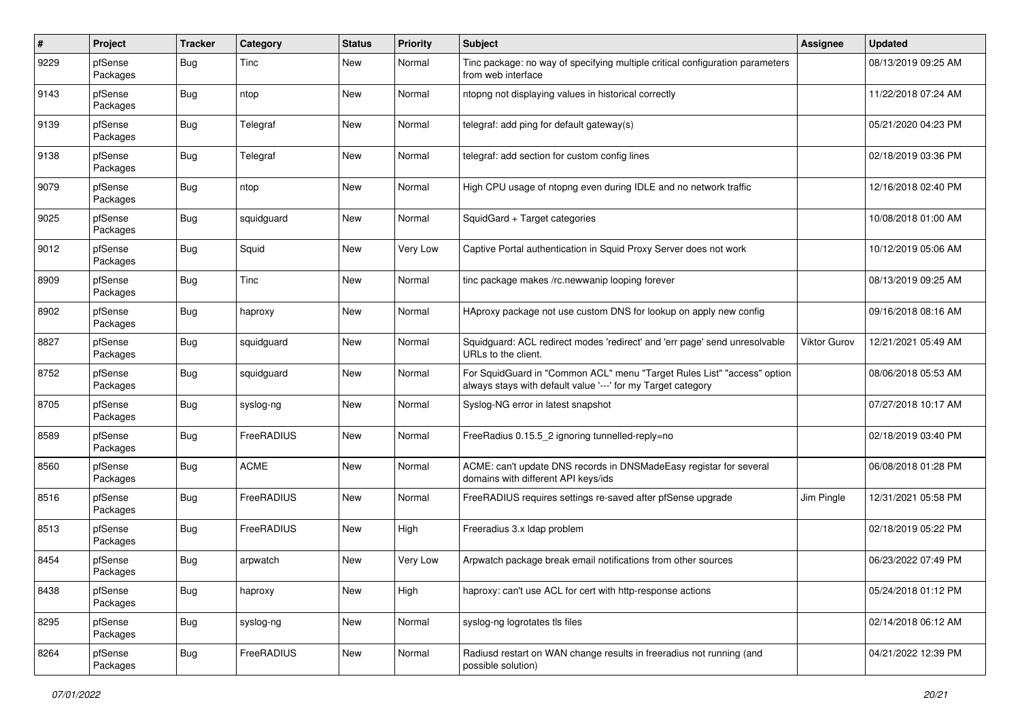| $\pmb{\#}$ | Project             | <b>Tracker</b> | Category    | <b>Status</b> | <b>Priority</b> | <b>Subject</b>                                                                                                                          | Assignee            | <b>Updated</b>      |
|------------|---------------------|----------------|-------------|---------------|-----------------|-----------------------------------------------------------------------------------------------------------------------------------------|---------------------|---------------------|
| 9229       | pfSense<br>Packages | Bug            | Tinc        | New           | Normal          | Tinc package: no way of specifying multiple critical configuration parameters<br>from web interface                                     |                     | 08/13/2019 09:25 AM |
| 9143       | pfSense<br>Packages | Bug            | ntop        | <b>New</b>    | Normal          | ntopng not displaying values in historical correctly                                                                                    |                     | 11/22/2018 07:24 AM |
| 9139       | pfSense<br>Packages | <b>Bug</b>     | Telegraf    | <b>New</b>    | Normal          | telegraf: add ping for default gateway(s)                                                                                               |                     | 05/21/2020 04:23 PM |
| 9138       | pfSense<br>Packages | <b>Bug</b>     | Telegraf    | New           | Normal          | telegraf: add section for custom config lines                                                                                           |                     | 02/18/2019 03:36 PM |
| 9079       | pfSense<br>Packages | <b>Bug</b>     | ntop        | New           | Normal          | High CPU usage of ntopng even during IDLE and no network traffic                                                                        |                     | 12/16/2018 02:40 PM |
| 9025       | pfSense<br>Packages | <b>Bug</b>     | squidguard  | New           | Normal          | SquidGard + Target categories                                                                                                           |                     | 10/08/2018 01:00 AM |
| 9012       | pfSense<br>Packages | Bug            | Squid       | New           | Very Low        | Captive Portal authentication in Squid Proxy Server does not work                                                                       |                     | 10/12/2019 05:06 AM |
| 8909       | pfSense<br>Packages | <b>Bug</b>     | Tinc        | New           | Normal          | tinc package makes /rc.newwanip looping forever                                                                                         |                     | 08/13/2019 09:25 AM |
| 8902       | pfSense<br>Packages | <b>Bug</b>     | haproxy     | <b>New</b>    | Normal          | HAproxy package not use custom DNS for lookup on apply new config                                                                       |                     | 09/16/2018 08:16 AM |
| 8827       | pfSense<br>Packages | <b>Bug</b>     | squidguard  | New           | Normal          | Squidguard: ACL redirect modes 'redirect' and 'err page' send unresolvable<br>URLs to the client.                                       | <b>Viktor Gurov</b> | 12/21/2021 05:49 AM |
| 8752       | pfSense<br>Packages | <b>Bug</b>     | squidguard  | <b>New</b>    | Normal          | For SquidGuard in "Common ACL" menu "Target Rules List" "access" option<br>always stays with default value '---' for my Target category |                     | 08/06/2018 05:53 AM |
| 8705       | pfSense<br>Packages | <b>Bug</b>     | syslog-ng   | New           | Normal          | Syslog-NG error in latest snapshot                                                                                                      |                     | 07/27/2018 10:17 AM |
| 8589       | pfSense<br>Packages | <b>Bug</b>     | FreeRADIUS  | New           | Normal          | FreeRadius 0.15.5_2 ignoring tunnelled-reply=no                                                                                         |                     | 02/18/2019 03:40 PM |
| 8560       | pfSense<br>Packages | <b>Bug</b>     | <b>ACME</b> | New           | Normal          | ACME: can't update DNS records in DNSMadeEasy registar for several<br>domains with different API keys/ids                               |                     | 06/08/2018 01:28 PM |
| 8516       | pfSense<br>Packages | <b>Bug</b>     | FreeRADIUS  | New           | Normal          | FreeRADIUS requires settings re-saved after pfSense upgrade                                                                             | Jim Pingle          | 12/31/2021 05:58 PM |
| 8513       | pfSense<br>Packages | <b>Bug</b>     | FreeRADIUS  | New           | High            | Freeradius 3.x Idap problem                                                                                                             |                     | 02/18/2019 05:22 PM |
| 8454       | pfSense<br>Packages | <b>Bug</b>     | arpwatch    | <b>New</b>    | Very Low        | Arpwatch package break email notifications from other sources                                                                           |                     | 06/23/2022 07:49 PM |
| 8438       | pfSense<br>Packages | <b>Bug</b>     | haproxy     | New           | High            | haproxy: can't use ACL for cert with http-response actions                                                                              |                     | 05/24/2018 01:12 PM |
| 8295       | pfSense<br>Packages | <b>Bug</b>     | syslog-ng   | New           | Normal          | syslog-ng logrotates tls files                                                                                                          |                     | 02/14/2018 06:12 AM |
| 8264       | pfSense<br>Packages | Bug            | FreeRADIUS  | New           | Normal          | Radiusd restart on WAN change results in freeradius not running (and<br>possible solution)                                              |                     | 04/21/2022 12:39 PM |